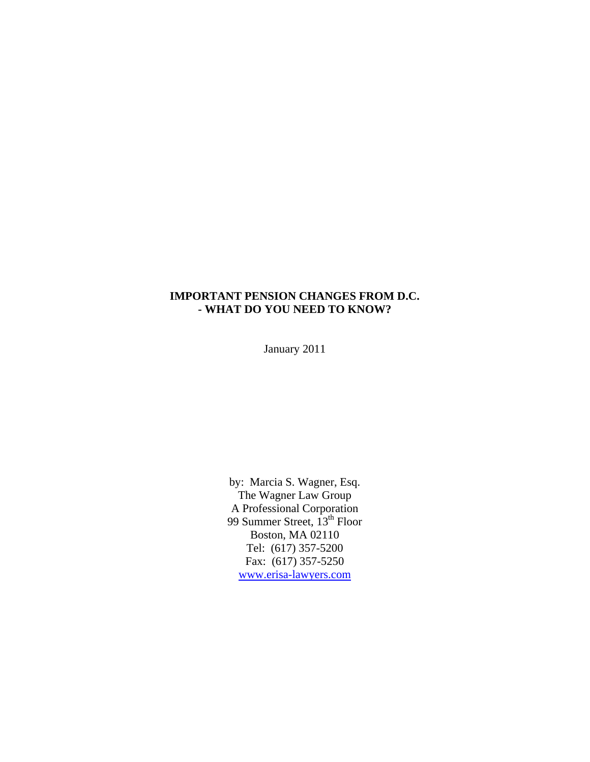## **IMPORTANT PENSION CHANGES FROM D.C. - WHAT DO YOU NEED TO KNOW?**

January 2011

by: Marcia S. Wagner, Esq. The Wagner Law Group A Professional Corporation 99 Summer Street, 13<sup>th</sup> Floor Boston, MA 02110 Tel: (617) 357-5200 Fax: (617) 357-5250 [www.erisa-lawyers.com](http://www.erisa-lawyers.com/)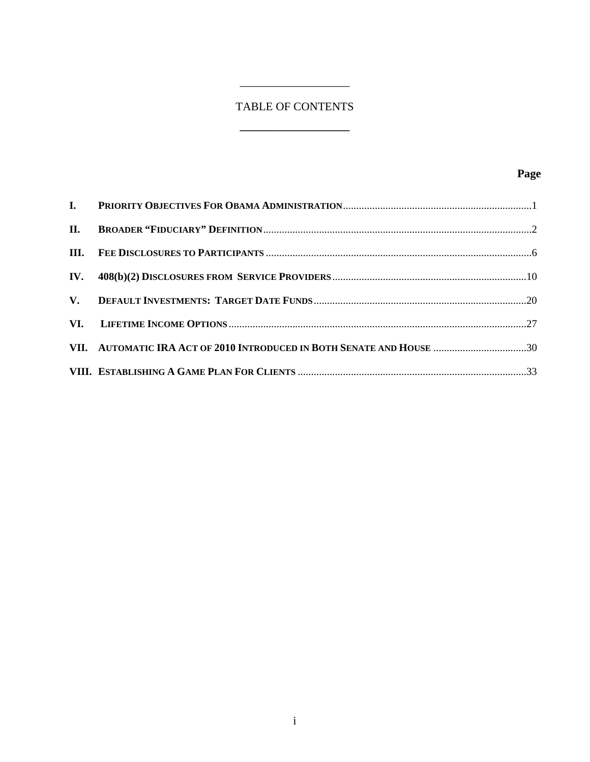# TABLE OF CONTENTS

**\_\_\_\_\_\_\_\_\_\_\_\_\_\_\_\_\_\_\_** 

 $\overline{\phantom{a}}$  , where  $\overline{\phantom{a}}$  , where  $\overline{\phantom{a}}$ 

| VII. AUTOMATIC IRA ACT OF 2010 INTRODUCED IN BOTH SENATE AND HOUSE 30 |  |
|-----------------------------------------------------------------------|--|
|                                                                       |  |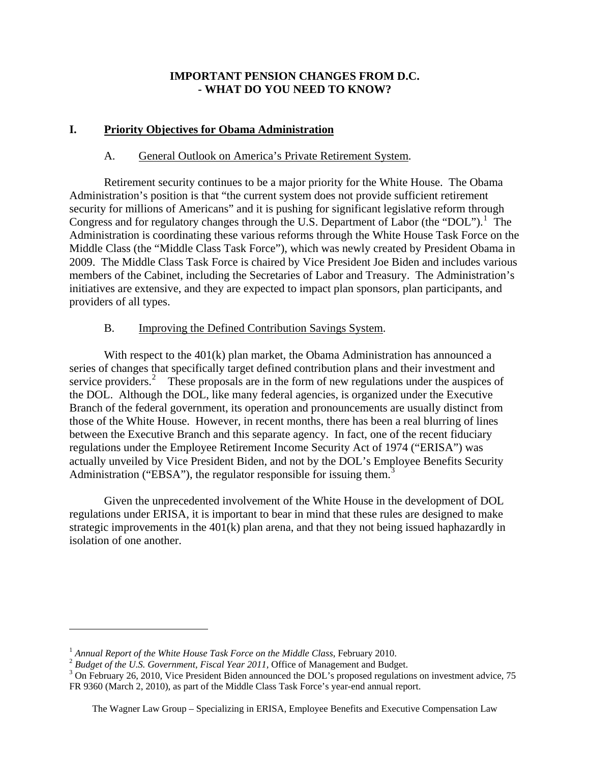# **IMPORTANT PENSION CHANGES FROM D.C. - WHAT DO YOU NEED TO KNOW?**

# <span id="page-2-0"></span>**I. Priority Objectives for Obama Administration**

## A. General Outlook on America's Private Retirement System.

Retirement security continues to be a major priority for the White House. The Obama Administration's position is that "the current system does not provide sufficient retirement security for millions of Americans" and it is pushing for significant legislative reform through Congress and for regulatory changes through the U.S. Department of Labor (the "DOL").<sup>[1](#page-2-1)</sup> The Administration is coordinating these various reforms through the White House Task Force on the Middle Class (the "Middle Class Task Force"), which was newly created by President Obama in 2009. The Middle Class Task Force is chaired by Vice President Joe Biden and includes various members of the Cabinet, including the Secretaries of Labor and Treasury. The Administration's initiatives are extensive, and they are expected to impact plan sponsors, plan participants, and providers of all types.

# B. Improving the Defined Contribution Savings System.

With respect to the 401(k) plan market, the Obama Administration has announced a series of changes that specifically target defined contribution plans and their investment and service providers.<sup>[2](#page-2-2)</sup> These proposals are in the form of new regulations under the auspices of the DOL. Although the DOL, like many federal agencies, is organized under the Executive Branch of the federal government, its operation and pronouncements are usually distinct from those of the White House. However, in recent months, there has been a real blurring of lines between the Executive Branch and this separate agency. In fact, one of the recent fiduciary regulations under the Employee Retirement Income Security Act of 1974 ("ERISA") was actually unveiled by Vice President Biden, and not by the DOL's Employee Benefits Security Administration ("EBSA"), the regulator responsible for issuing them.<sup>[3](#page-2-3)</sup>

 Given the unprecedented involvement of the White House in the development of DOL regulations under ERISA, it is important to bear in mind that these rules are designed to make strategic improvements in the  $401(k)$  plan arena, and that they not being issued haphazardly in isolation of one another.

<span id="page-2-1"></span><sup>&</sup>lt;sup>1</sup> Annual Report of the White House Task Force on the Middle Class, February 2010.<br><sup>2</sup> Budget of the U.S. Government, Fiscal Year 2011, Office of Management and Budget.

<span id="page-2-3"></span><span id="page-2-2"></span><sup>&</sup>lt;sup>3</sup> On February 26, 2010, Vice President Biden announced the DOL's proposed regulations on investment advice, 75 FR 9360 (March 2, 2010), as part of the Middle Class Task Force's year-end annual report.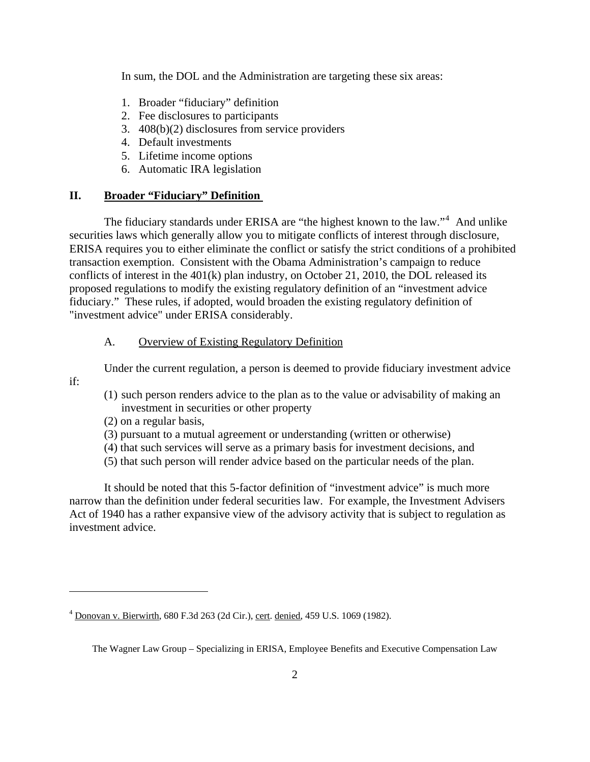<span id="page-3-0"></span>In sum, the DOL and the Administration are targeting these six areas:

- 1. Broader "fiduciary" definition
- 2. Fee disclosures to participants
- 3. 408(b)(2) disclosures from service providers
- 4. Default investments
- 5. Lifetime income options
- 6. Automatic IRA legislation

### **II. Broader "Fiduciary" Definition**

The fiduciary standards under ERISA are "the highest known to the law."<sup>[4](#page-3-1)</sup> And unlike securities laws which generally allow you to mitigate conflicts of interest through disclosure, ERISA requires you to either eliminate the conflict or satisfy the strict conditions of a prohibited transaction exemption. Consistent with the Obama Administration's campaign to reduce conflicts of interest in the 401(k) plan industry, on October 21, 2010, the DOL released its proposed regulations to modify the existing regulatory definition of an "investment advice fiduciary." These rules, if adopted, would broaden the existing regulatory definition of "investment advice" under ERISA considerably.

#### A. Overview of Existing Regulatory Definition

Under the current regulation, a person is deemed to provide fiduciary investment advice

- (1) such person renders advice to the plan as to the value or advisability of making an investment in securities or other property
- (2) on a regular basis,

if:

 $\overline{a}$ 

- (3) pursuant to a mutual agreement or understanding (written or otherwise)
- (4) that such services will serve as a primary basis for investment decisions, and
- (5) that such person will render advice based on the particular needs of the plan.

It should be noted that this 5-factor definition of "investment advice" is much more narrow than the definition under federal securities law. For example, the Investment Advisers Act of 1940 has a rather expansive view of the advisory activity that is subject to regulation as investment advice.

<span id="page-3-1"></span><sup>&</sup>lt;sup>4</sup> Donovan v. Bierwirth, 680 F.3d 263 (2d Cir.), cert. denied, 459 U.S. 1069 (1982).

The Wagner Law Group – Specializing in ERISA, Employee Benefits and Executive Compensation Law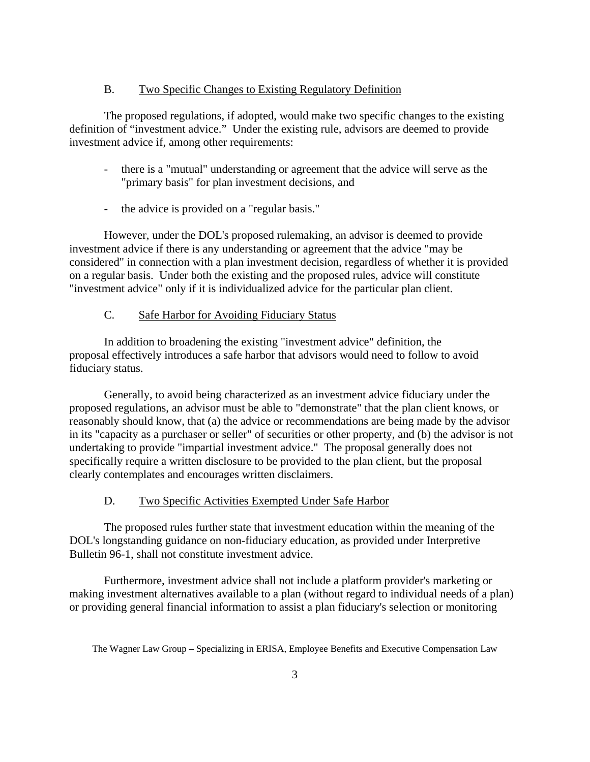### B. Two Specific Changes to Existing Regulatory Definition

The proposed regulations, if adopted, would make two specific changes to the existing definition of "investment advice." Under the existing rule, advisors are deemed to provide investment advice if, among other requirements:

- there is a "mutual" understanding or agreement that the advice will serve as the "primary basis" for plan investment decisions, and
- the advice is provided on a "regular basis."

However, under the DOL's proposed rulemaking, an advisor is deemed to provide investment advice if there is any understanding or agreement that the advice "may be considered" in connection with a plan investment decision, regardless of whether it is provided on a regular basis. Under both the existing and the proposed rules, advice will constitute "investment advice" only if it is individualized advice for the particular plan client.

# C. Safe Harbor for Avoiding Fiduciary Status

In addition to broadening the existing "investment advice" definition, the proposal effectively introduces a safe harbor that advisors would need to follow to avoid fiduciary status.

Generally, to avoid being characterized as an investment advice fiduciary under the proposed regulations, an advisor must be able to "demonstrate" that the plan client knows, or reasonably should know, that (a) the advice or recommendations are being made by the advisor in its "capacity as a purchaser or seller" of securities or other property, and (b) the advisor is not undertaking to provide "impartial investment advice." The proposal generally does not specifically require a written disclosure to be provided to the plan client, but the proposal clearly contemplates and encourages written disclaimers.

### D. Two Specific Activities Exempted Under Safe Harbor

The proposed rules further state that investment education within the meaning of the DOL's longstanding guidance on non-fiduciary education, as provided under Interpretive Bulletin 96-1, shall not constitute investment advice.

Furthermore, investment advice shall not include a platform provider's marketing or making investment alternatives available to a plan (without regard to individual needs of a plan) or providing general financial information to assist a plan fiduciary's selection or monitoring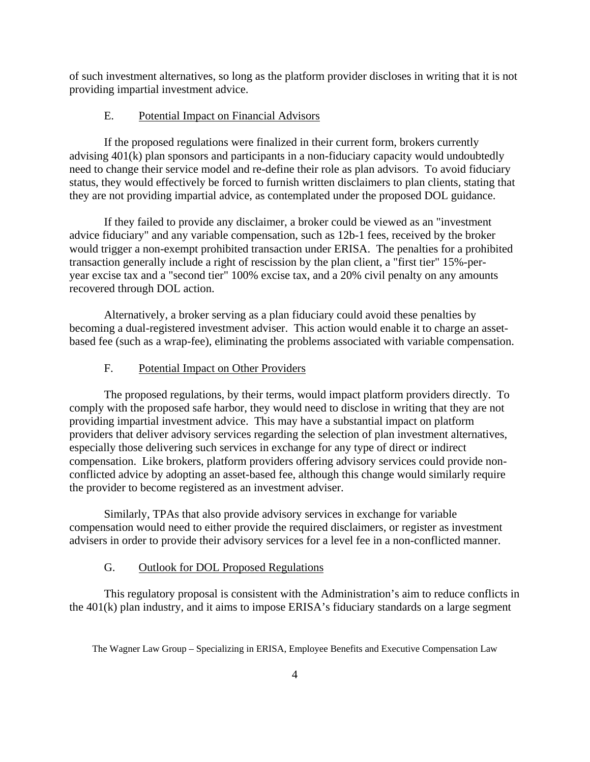of such investment alternatives, so long as the platform provider discloses in writing that it is not providing impartial investment advice.

#### Potential Impact on Financial Advisors E.

If the proposed regulations were finalized in their current form, brokers currently advising 401(k) plan sponsors and participants in a non-fiduciary capacity would undoubtedly need to change their service model and re-define their role as plan advisors. To avoid fiduciary status, they would effectively be forced to furnish written disclaimers to plan clients, stating that they are not providing impartial advice, as contemplated under the proposed DOL guidance.

If they failed to provide any disclaimer, a broker could be viewed as an "investment advice fiduciary" and any variable compensation, such as 12b-1 fees, received by the broker would trigger a non-exempt prohibited transaction under ERISA. The penalties for a prohibited transaction generally include a right of rescission by the plan client, a "first tier" 15%-peryear excise tax and a "second tier" 100% excise tax, and a 20% civil penalty on any amounts recovered through DOL action.

Alternatively, a broker serving as a plan fiduciary could avoid these penalties by becoming a dual-registered investment adviser. This action would enable it to charge an assetbased fee (such as a wrap-fee), eliminating the problems associated with variable compensation.

#### F. Potential Impact on Other Providers

The proposed regulations, by their terms, would impact platform providers directly. To comply with the proposed safe harbor, they would need to disclose in writing that they are not providing impartial investment advice. This may have a substantial impact on platform providers that deliver advisory services regarding the selection of plan investment alternatives, especially those delivering such services in exchange for any type of direct or indirect compensation. Like brokers, platform providers offering advisory services could provide nonconflicted advice by adopting an asset-based fee, although this change would similarly require the provider to become registered as an investment adviser.

Similarly, TPAs that also provide advisory services in exchange for variable compensation would need to either provide the required disclaimers, or register as investment advisers in order to provide their advisory services for a level fee in a non-conflicted manner.

## G. Outlook for DOL Proposed Regulations

This regulatory proposal is consistent with the Administration's aim to reduce conflicts in the 401(k) plan industry, and it aims to impose ERISA's fiduciary standards on a large segment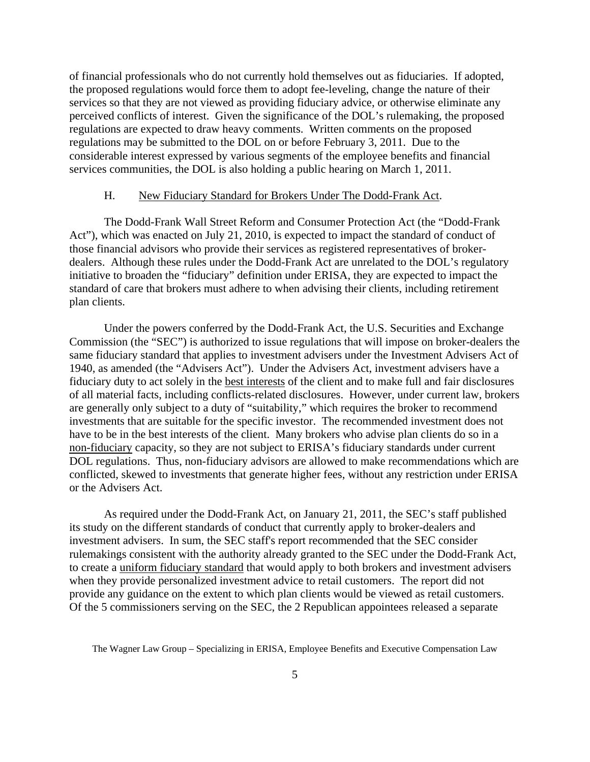of financial professionals who do not currently hold themselves out as fiduciaries. If adopted, the proposed regulations would force them to adopt fee-leveling, change the nature of their services so that they are not viewed as providing fiduciary advice, or otherwise eliminate any perceived conflicts of interest. Given the significance of the DOL's rulemaking, the proposed regulations are expected to draw heavy comments. Written comments on the proposed regulations may be submitted to the DOL on or before February 3, 2011. Due to the considerable interest expressed by various segments of the employee benefits and financial services communities, the DOL is also holding a public hearing on March 1, 2011.

#### H. New Fiduciary Standard for Brokers Under The Dodd-Frank Act.

The Dodd-Frank Wall Street Reform and Consumer Protection Act (the "Dodd-Frank Act"), which was enacted on July 21, 2010, is expected to impact the standard of conduct of those financial advisors who provide their services as registered representatives of brokerdealers. Although these rules under the Dodd-Frank Act are unrelated to the DOL's regulatory initiative to broaden the "fiduciary" definition under ERISA, they are expected to impact the standard of care that brokers must adhere to when advising their clients, including retirement plan clients.

Under the powers conferred by the Dodd-Frank Act, the U.S. Securities and Exchange Commission (the "SEC") is authorized to issue regulations that will impose on broker-dealers the same fiduciary standard that applies to investment advisers under the Investment Advisers Act of 1940, as amended (the "Advisers Act"). Under the Advisers Act, investment advisers have a fiduciary duty to act solely in the best interests of the client and to make full and fair disclosures of all material facts, including conflicts-related disclosures. However, under current law, brokers are generally only subject to a duty of "suitability," which requires the broker to recommend investments that are suitable for the specific investor. The recommended investment does not have to be in the best interests of the client. Many brokers who advise plan clients do so in a non-fiduciary capacity, so they are not subject to ERISA's fiduciary standards under current DOL regulations. Thus, non-fiduciary advisors are allowed to make recommendations which are conflicted, skewed to investments that generate higher fees, without any restriction under ERISA or the Advisers Act.

As required under the Dodd-Frank Act, on January 21, 2011, the SEC's staff published its study on the different standards of conduct that currently apply to broker-dealers and investment advisers. In sum, the SEC staff's report recommended that the SEC consider rulemakings consistent with the authority already granted to the SEC under the Dodd-Frank Act, to create a uniform fiduciary standard that would apply to both brokers and investment advisers when they provide personalized investment advice to retail customers. The report did not provide any guidance on the extent to which plan clients would be viewed as retail customers. Of the 5 commissioners serving on the SEC, the 2 Republican appointees released a separate

The Wagner Law Group – Specializing in ERISA, Employee Benefits and Executive Compensation Law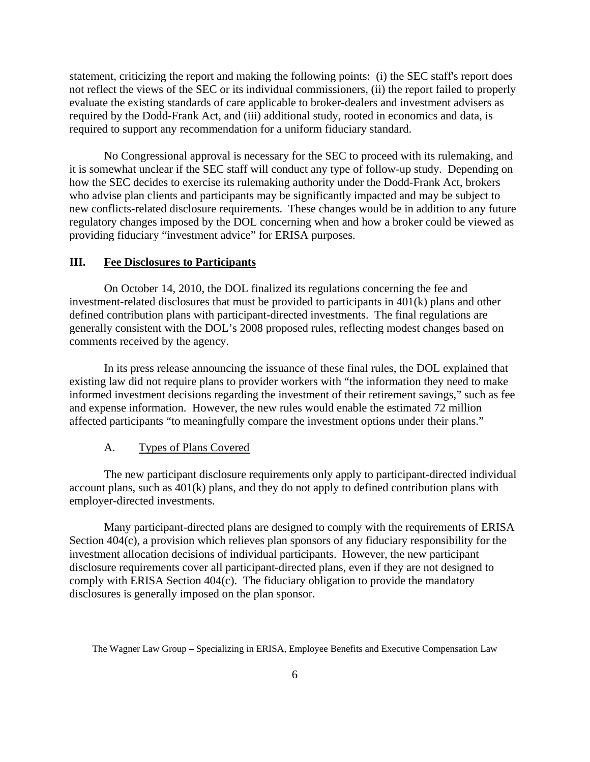<span id="page-7-0"></span>statement, criticizing the report and making the following points: (i) the SEC staff's report does not reflect the views of the SEC or its individual commissioners, (ii) the report failed to properly evaluate the existing standards of care applicable to broker-dealers and investment advisers as required by the Dodd-Frank Act, and (iii) additional study, rooted in economics and data, is required to support any recommendation for a uniform fiduciary standard.

No Congressional approval is necessary for the SEC to proceed with its rulemaking, and it is somewhat unclear if the SEC staff will conduct any type of follow-up study. Depending on how the SEC decides to exercise its rulemaking authority under the Dodd-Frank Act, brokers who advise plan clients and participants may be significantly impacted and may be subject to new conflicts-related disclosure requirements. These changes would be in addition to any future regulatory changes imposed by the DOL concerning when and how a broker could be viewed as providing fiduciary "investment advice" for ERISA purposes.

#### **III. Fee Disclosures to Participants**

 On October 14, 2010, the DOL finalized its regulations concerning the fee and investment-related disclosures that must be provided to participants in 401(k) plans and other defined contribution plans with participant-directed investments. The final regulations are generally consistent with the DOL's 2008 proposed rules, reflecting modest changes based on comments received by the agency.

 In its press release announcing the issuance of these final rules, the DOL explained that existing law did not require plans to provider workers with "the information they need to make informed investment decisions regarding the investment of their retirement savings," such as fee and expense information. However, the new rules would enable the estimated 72 million affected participants "to meaningfully compare the investment options under their plans."

#### A. Types of Plans Covered

 The new participant disclosure requirements only apply to participant-directed individual account plans, such as  $401(k)$  plans, and they do not apply to defined contribution plans with employer-directed investments.

 Many participant-directed plans are designed to comply with the requirements of ERISA Section 404(c), a provision which relieves plan sponsors of any fiduciary responsibility for the investment allocation decisions of individual participants. However, the new participant disclosure requirements cover all participant-directed plans, even if they are not designed to comply with ERISA Section 404(c). The fiduciary obligation to provide the mandatory disclosures is generally imposed on the plan sponsor.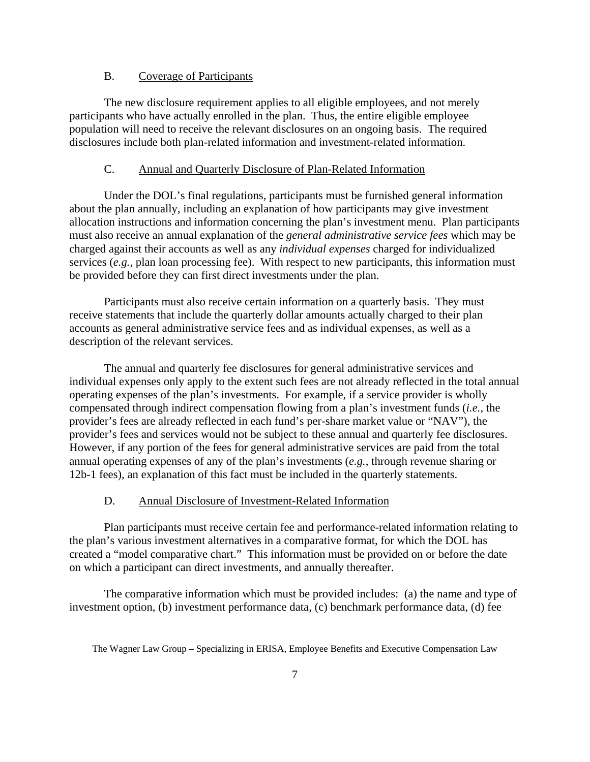## B. Coverage of Participants

 The new disclosure requirement applies to all eligible employees, and not merely participants who have actually enrolled in the plan. Thus, the entire eligible employee population will need to receive the relevant disclosures on an ongoing basis. The required disclosures include both plan-related information and investment-related information.

## C. Annual and Quarterly Disclosure of Plan-Related Information

 Under the DOL's final regulations, participants must be furnished general information about the plan annually, including an explanation of how participants may give investment allocation instructions and information concerning the plan's investment menu. Plan participants must also receive an annual explanation of the *general administrative service fees* which may be charged against their accounts as well as any *individual expenses* charged for individualized services (*e.g.*, plan loan processing fee). With respect to new participants, this information must be provided before they can first direct investments under the plan.

 Participants must also receive certain information on a quarterly basis. They must receive statements that include the quarterly dollar amounts actually charged to their plan accounts as general administrative service fees and as individual expenses, as well as a description of the relevant services.

 The annual and quarterly fee disclosures for general administrative services and individual expenses only apply to the extent such fees are not already reflected in the total annual operating expenses of the plan's investments. For example, if a service provider is wholly compensated through indirect compensation flowing from a plan's investment funds (*i.e.*, the provider's fees are already reflected in each fund's per-share market value or "NAV"), the provider's fees and services would not be subject to these annual and quarterly fee disclosures. However, if any portion of the fees for general administrative services are paid from the total annual operating expenses of any of the plan's investments (*e.g.*, through revenue sharing or 12b-1 fees), an explanation of this fact must be included in the quarterly statements.

#### D. Annual Disclosure of Investment-Related Information

 Plan participants must receive certain fee and performance-related information relating to the plan's various investment alternatives in a comparative format, for which the DOL has created a "model comparative chart." This information must be provided on or before the date on which a participant can direct investments, and annually thereafter.

 The comparative information which must be provided includes: (a) the name and type of investment option, (b) investment performance data, (c) benchmark performance data, (d) fee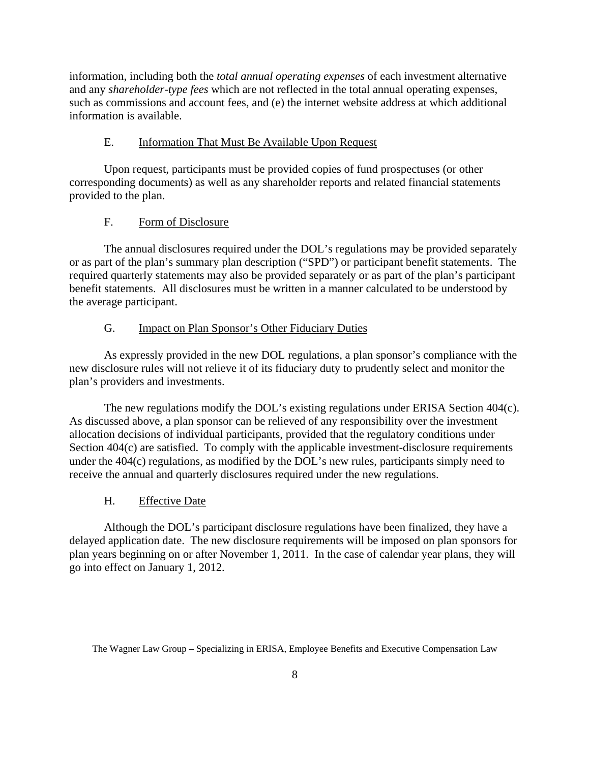information, including both the *total annual operating expenses* of each investment alternative and any *shareholder-type fees* which are not reflected in the total annual operating expenses, such as commissions and account fees, and (e) the internet website address at which additional information is available.

## E. Information That Must Be Available Upon Request

 Upon request, participants must be provided copies of fund prospectuses (or other corresponding documents) as well as any shareholder reports and related financial statements provided to the plan.

## F. Form of Disclosure

 The annual disclosures required under the DOL's regulations may be provided separately or as part of the plan's summary plan description ("SPD") or participant benefit statements. The required quarterly statements may also be provided separately or as part of the plan's participant benefit statements. All disclosures must be written in a manner calculated to be understood by the average participant.

## G. Impact on Plan Sponsor's Other Fiduciary Duties

 As expressly provided in the new DOL regulations, a plan sponsor's compliance with the new disclosure rules will not relieve it of its fiduciary duty to prudently select and monitor the plan's providers and investments.

 The new regulations modify the DOL's existing regulations under ERISA Section 404(c). As discussed above, a plan sponsor can be relieved of any responsibility over the investment allocation decisions of individual participants, provided that the regulatory conditions under Section 404(c) are satisfied. To comply with the applicable investment-disclosure requirements under the 404(c) regulations, as modified by the DOL's new rules, participants simply need to receive the annual and quarterly disclosures required under the new regulations.

#### H. Effective Date

 Although the DOL's participant disclosure regulations have been finalized, they have a delayed application date. The new disclosure requirements will be imposed on plan sponsors for plan years beginning on or after November 1, 2011. In the case of calendar year plans, they will go into effect on January 1, 2012.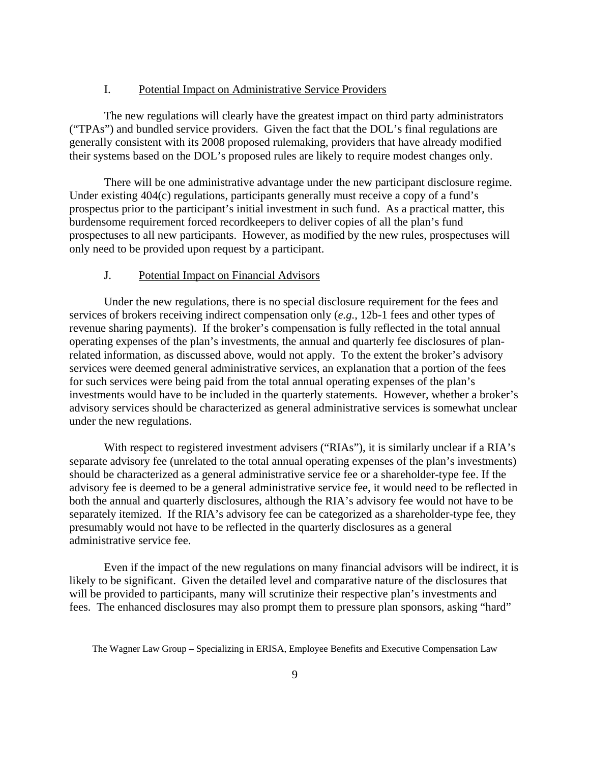#### I. Potential Impact on Administrative Service Providers

The new regulations will clearly have the greatest impact on third party administrators ("TPAs") and bundled service providers. Given the fact that the DOL's final regulations are generally consistent with its 2008 proposed rulemaking, providers that have already modified their systems based on the DOL's proposed rules are likely to require modest changes only.

There will be one administrative advantage under the new participant disclosure regime. Under existing 404(c) regulations, participants generally must receive a copy of a fund's prospectus prior to the participant's initial investment in such fund. As a practical matter, this burdensome requirement forced recordkeepers to deliver copies of all the plan's fund prospectuses to all new participants. However, as modified by the new rules, prospectuses will only need to be provided upon request by a participant.

## J. Potential Impact on Financial Advisors

 Under the new regulations, there is no special disclosure requirement for the fees and services of brokers receiving indirect compensation only (*e.g.*, 12b-1 fees and other types of revenue sharing payments). If the broker's compensation is fully reflected in the total annual operating expenses of the plan's investments, the annual and quarterly fee disclosures of planrelated information, as discussed above, would not apply. To the extent the broker's advisory services were deemed general administrative services, an explanation that a portion of the fees for such services were being paid from the total annual operating expenses of the plan's investments would have to be included in the quarterly statements. However, whether a broker's advisory services should be characterized as general administrative services is somewhat unclear under the new regulations.

With respect to registered investment advisers ("RIAs"), it is similarly unclear if a RIA's separate advisory fee (unrelated to the total annual operating expenses of the plan's investments) should be characterized as a general administrative service fee or a shareholder-type fee. If the advisory fee is deemed to be a general administrative service fee, it would need to be reflected in both the annual and quarterly disclosures, although the RIA's advisory fee would not have to be separately itemized. If the RIA's advisory fee can be categorized as a shareholder-type fee, they presumably would not have to be reflected in the quarterly disclosures as a general administrative service fee.

Even if the impact of the new regulations on many financial advisors will be indirect, it is likely to be significant. Given the detailed level and comparative nature of the disclosures that will be provided to participants, many will scrutinize their respective plan's investments and fees. The enhanced disclosures may also prompt them to pressure plan sponsors, asking "hard"

The Wagner Law Group – Specializing in ERISA, Employee Benefits and Executive Compensation Law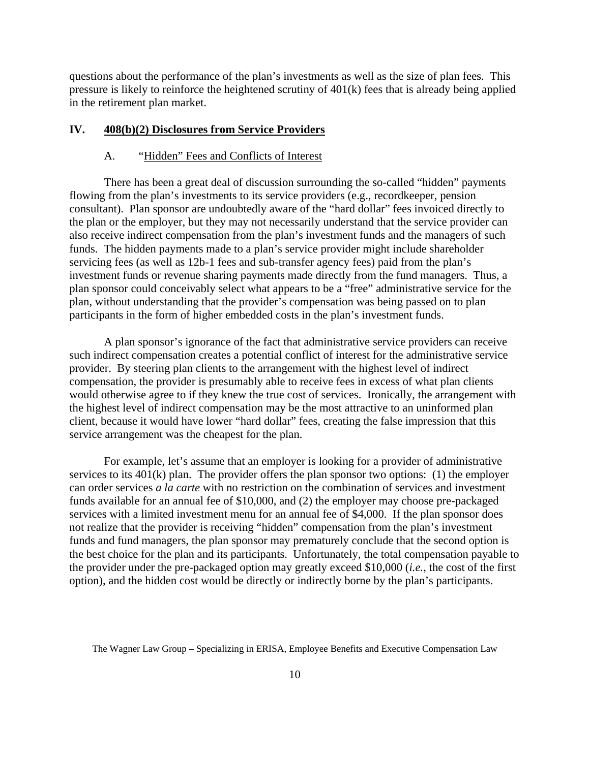<span id="page-11-0"></span>questions about the performance of the plan's investments as well as the size of plan fees. This pressure is likely to reinforce the heightened scrutiny of 401(k) fees that is already being applied in the retirement plan market.

#### **IV. 408(b)(2) Disclosures from Service Providers**

#### A. "Hidden" Fees and Conflicts of Interest

There has been a great deal of discussion surrounding the so-called "hidden" payments flowing from the plan's investments to its service providers (e.g., recordkeeper, pension consultant). Plan sponsor are undoubtedly aware of the "hard dollar" fees invoiced directly to the plan or the employer, but they may not necessarily understand that the service provider can also receive indirect compensation from the plan's investment funds and the managers of such funds. The hidden payments made to a plan's service provider might include shareholder servicing fees (as well as 12b-1 fees and sub-transfer agency fees) paid from the plan's investment funds or revenue sharing payments made directly from the fund managers. Thus, a plan sponsor could conceivably select what appears to be a "free" administrative service for the plan, without understanding that the provider's compensation was being passed on to plan participants in the form of higher embedded costs in the plan's investment funds.

A plan sponsor's ignorance of the fact that administrative service providers can receive such indirect compensation creates a potential conflict of interest for the administrative service provider. By steering plan clients to the arrangement with the highest level of indirect compensation, the provider is presumably able to receive fees in excess of what plan clients would otherwise agree to if they knew the true cost of services. Ironically, the arrangement with the highest level of indirect compensation may be the most attractive to an uninformed plan client, because it would have lower "hard dollar" fees, creating the false impression that this service arrangement was the cheapest for the plan.

For example, let's assume that an employer is looking for a provider of administrative services to its 401(k) plan. The provider offers the plan sponsor two options: (1) the employer can order services *a la carte* with no restriction on the combination of services and investment funds available for an annual fee of \$10,000, and (2) the employer may choose pre-packaged services with a limited investment menu for an annual fee of \$4,000. If the plan sponsor does not realize that the provider is receiving "hidden" compensation from the plan's investment funds and fund managers, the plan sponsor may prematurely conclude that the second option is the best choice for the plan and its participants. Unfortunately, the total compensation payable to the provider under the pre-packaged option may greatly exceed \$10,000 (*i.e.*, the cost of the first option), and the hidden cost would be directly or indirectly borne by the plan's participants.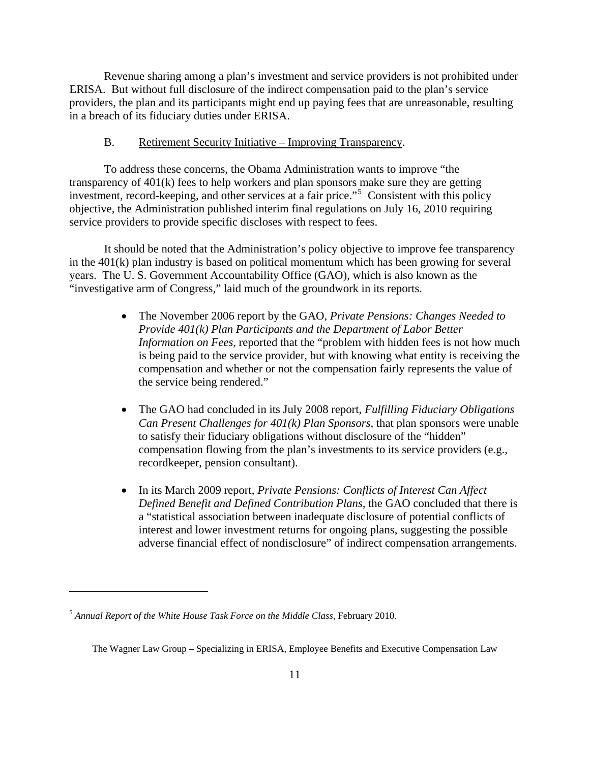Revenue sharing among a plan's investment and service providers is not prohibited under ERISA. But without full disclosure of the indirect compensation paid to the plan's service providers, the plan and its participants might end up paying fees that are unreasonable, resulting in a breach of its fiduciary duties under ERISA.

#### B. Retirement Security Initiative – Improving Transparency.

To address these concerns, the Obama Administration wants to improve "the transparency of 401(k) fees to help workers and plan sponsors make sure they are getting investment, record-keeping, and other services at a fair price."[5](#page-12-0) Consistent with this policy objective, the Administration published interim final regulations on July 16, 2010 requiring service providers to provide specific discloses with respect to fees.

It should be noted that the Administration's policy objective to improve fee transparency in the 401(k) plan industry is based on political momentum which has been growing for several years. The U. S. Government Accountability Office (GAO), which is also known as the "investigative arm of Congress," laid much of the groundwork in its reports.

- The November 2006 report by the GAO, *Private Pensions: Changes Needed to Provide 401(k) Plan Participants and the Department of Labor Better Information on Fees*, reported that the "problem with hidden fees is not how much is being paid to the service provider, but with knowing what entity is receiving the compensation and whether or not the compensation fairly represents the value of the service being rendered."
- The GAO had concluded in its July 2008 report, *Fulfilling Fiduciary Obligations Can Present Challenges for 401(k) Plan Sponsors*, that plan sponsors were unable to satisfy their fiduciary obligations without disclosure of the "hidden" compensation flowing from the plan's investments to its service providers (e.g., recordkeeper, pension consultant).
- In its March 2009 report, *Private Pensions: Conflicts of Interest Can Affect Defined Benefit and Defined Contribution Plans,* the GAO concluded that there is a "statistical association between inadequate disclosure of potential conflicts of interest and lower investment returns for ongoing plans, suggesting the possible adverse financial effect of nondisclosure" of indirect compensation arrangements.

<span id="page-12-0"></span><sup>5</sup> *Annual Report of the White House Task Force on the Middle Class*, February 2010.

The Wagner Law Group – Specializing in ERISA, Employee Benefits and Executive Compensation Law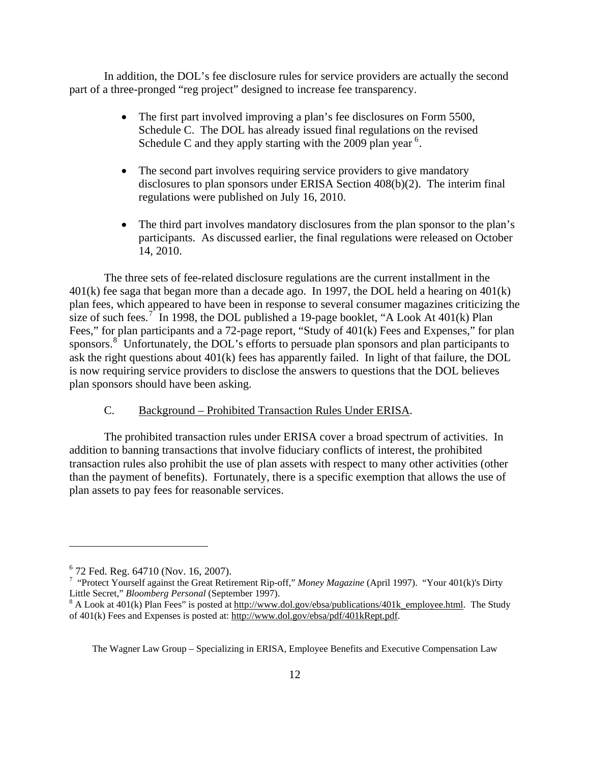In addition, the DOL's fee disclosure rules for service providers are actually the second part of a three-pronged "reg project" designed to increase fee transparency.

- The first part involved improving a plan's fee disclosures on Form 5500, Schedule C. The DOL has already issued final regulations on the revised Schedule C and they apply starting with the 2009 plan year<sup>[6](#page-13-0)</sup>.
- The second part involves requiring service providers to give mandatory disclosures to plan sponsors under ERISA Section 408(b)(2). The interim final regulations were published on July 16, 2010.
- The third part involves mandatory disclosures from the plan sponsor to the plan's participants. As discussed earlier, the final regulations were released on October 14, 2010.

 The three sets of fee-related disclosure regulations are the current installment in the 401(k) fee saga that began more than a decade ago. In 1997, the DOL held a hearing on 401(k) plan fees, which appeared to have been in response to several consumer magazines criticizing the size of such fees.<sup>[7](#page-13-1)</sup> In 1998, the DOL published a 19-page booklet, "A Look At 401(k) Plan Fees," for plan participants and a 72-page report, "Study of 401(k) Fees and Expenses," for plan sponsors.<sup>[8](#page-13-2)</sup> Unfortunately, the DOL's efforts to persuade plan sponsors and plan participants to ask the right questions about 401(k) fees has apparently failed. In light of that failure, the DOL is now requiring service providers to disclose the answers to questions that the DOL believes plan sponsors should have been asking.

## C. Background – Prohibited Transaction Rules Under ERISA.

The prohibited transaction rules under ERISA cover a broad spectrum of activities. In addition to banning transactions that involve fiduciary conflicts of interest, the prohibited transaction rules also prohibit the use of plan assets with respect to many other activities (other than the payment of benefits). Fortunately, there is a specific exemption that allows the use of plan assets to pay fees for reasonable services.

 $\overline{a}$ 

<span id="page-13-0"></span><sup>6</sup> 72 Fed. Reg. 64710 (Nov. 16, 2007).

<span id="page-13-1"></span><sup>&</sup>lt;sup>7</sup> "Protect Yourself against the Great Retirement Rip-off," Money Magazine (April 1997). "Your 401(k)'s Dirty Little Secret," *Bloomberg Personal* (September 1997).

<span id="page-13-2"></span>A Look at 401(k) Plan Fees" is posted at [http://www.dol.gov/ebsa/publications/401k\\_employee.html](http://www.dol.gov/ebsa/publications/401k_employee.html). The Study of 401(k) Fees and Expenses is posted at: http://www.dol.gov/ebsa/pdf/401kRept.pdf.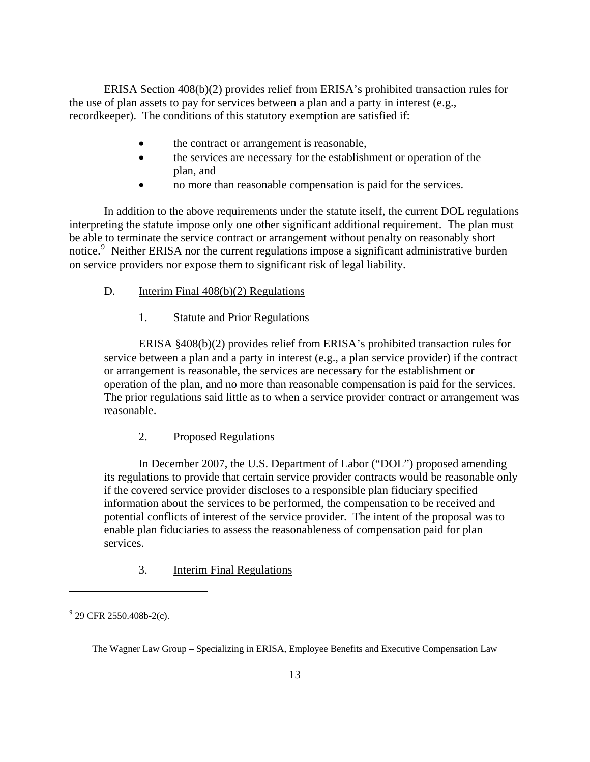ERISA Section 408(b)(2) provides relief from ERISA's prohibited transaction rules for the use of plan assets to pay for services between a plan and a party in interest (e.g., recordkeeper). The conditions of this statutory exemption are satisfied if:

- the contract or arrangement is reasonable,
- the services are necessary for the establishment or operation of the plan, and
- no more than reasonable compensation is paid for the services.

In addition to the above requirements under the statute itself, the current DOL regulations interpreting the statute impose only one other significant additional requirement. The plan must be able to terminate the service contract or arrangement without penalty on reasonably short notice.<sup>[9](#page-14-0)</sup> Neither ERISA nor the current regulations impose a significant administrative burden on service providers nor expose them to significant risk of legal liability.

- D. Interim Final 408(b)(2) Regulations
	- 1. Statute and Prior Regulations

ERISA §408(b)(2) provides relief from ERISA's prohibited transaction rules for service between a plan and a party in interest (e.g., a plan service provider) if the contract or arrangement is reasonable, the services are necessary for the establishment or operation of the plan, and no more than reasonable compensation is paid for the services. The prior regulations said little as to when a service provider contract or arrangement was reasonable.

### 2. Proposed Regulations

In December 2007, the U.S. Department of Labor ("DOL") proposed amending its regulations to provide that certain service provider contracts would be reasonable only if the covered service provider discloses to a responsible plan fiduciary specified information about the services to be performed, the compensation to be received and potential conflicts of interest of the service provider. The intent of the proposal was to enable plan fiduciaries to assess the reasonableness of compensation paid for plan services.

3. Interim Final Regulations

<span id="page-14-0"></span> $9^9$  29 CFR 2550.408b-2(c).

The Wagner Law Group – Specializing in ERISA, Employee Benefits and Executive Compensation Law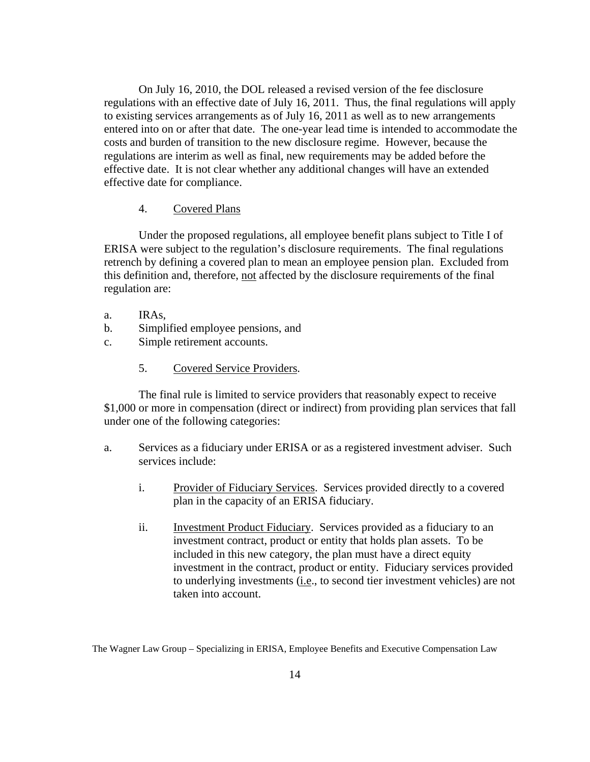On July 16, 2010, the DOL released a revised version of the fee disclosure regulations with an effective date of July 16, 2011. Thus, the final regulations will apply to existing services arrangements as of July 16, 2011 as well as to new arrangements entered into on or after that date. The one-year lead time is intended to accommodate the costs and burden of transition to the new disclosure regime. However, because the regulations are interim as well as final, new requirements may be added before the effective date. It is not clear whether any additional changes will have an extended effective date for compliance.

#### 4. Covered Plans

Under the proposed regulations, all employee benefit plans subject to Title I of ERISA were subject to the regulation's disclosure requirements. The final regulations retrench by defining a covered plan to mean an employee pension plan. Excluded from this definition and, therefore, not affected by the disclosure requirements of the final regulation are:

- a. IRAs,
- b. Simplified employee pensions, and
- c. Simple retirement accounts.
	- 5. Covered Service Providers.

The final rule is limited to service providers that reasonably expect to receive \$1,000 or more in compensation (direct or indirect) from providing plan services that fall under one of the following categories:

- a. Services as a fiduciary under ERISA or as a registered investment adviser. Such services include:
	- i. Provider of Fiduciary Services. Services provided directly to a covered plan in the capacity of an ERISA fiduciary.
	- ii. Investment Product Fiduciary. Services provided as a fiduciary to an investment contract, product or entity that holds plan assets. To be included in this new category, the plan must have a direct equity investment in the contract, product or entity. Fiduciary services provided to underlying investments (i.e., to second tier investment vehicles) are not taken into account.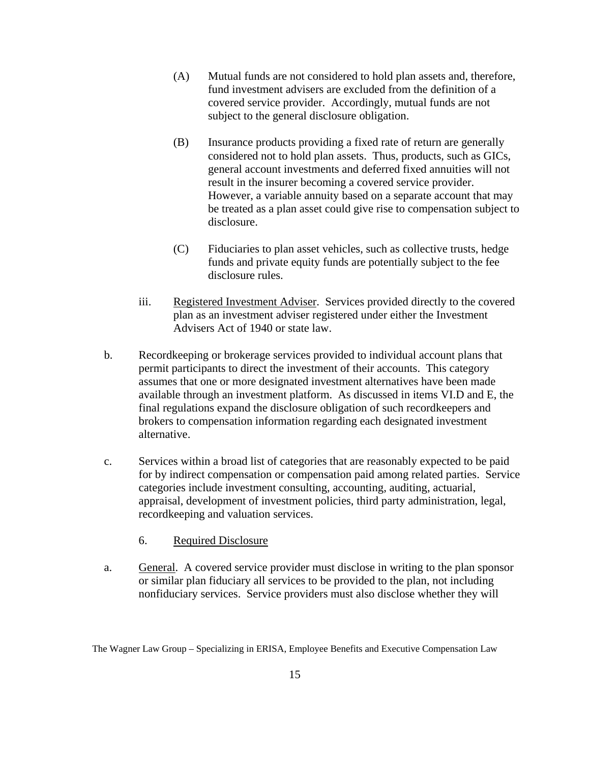- (A) Mutual funds are not considered to hold plan assets and, therefore, fund investment advisers are excluded from the definition of a covered service provider. Accordingly, mutual funds are not subject to the general disclosure obligation.
- (B) Insurance products providing a fixed rate of return are generally considered not to hold plan assets. Thus, products, such as GICs, general account investments and deferred fixed annuities will not result in the insurer becoming a covered service provider. However, a variable annuity based on a separate account that may be treated as a plan asset could give rise to compensation subject to disclosure.
- (C) Fiduciaries to plan asset vehicles, such as collective trusts, hedge funds and private equity funds are potentially subject to the fee disclosure rules.
- iii. Registered Investment Adviser. Services provided directly to the covered plan as an investment adviser registered under either the Investment Advisers Act of 1940 or state law.
- b. Recordkeeping or brokerage services provided to individual account plans that permit participants to direct the investment of their accounts. This category assumes that one or more designated investment alternatives have been made available through an investment platform. As discussed in items VI.D and E, the final regulations expand the disclosure obligation of such recordkeepers and brokers to compensation information regarding each designated investment alternative.
- c. Services within a broad list of categories that are reasonably expected to be paid for by indirect compensation or compensation paid among related parties. Service categories include investment consulting, accounting, auditing, actuarial, appraisal, development of investment policies, third party administration, legal, recordkeeping and valuation services.
	- 6. Required Disclosure
- a. General. A covered service provider must disclose in writing to the plan sponsor or similar plan fiduciary all services to be provided to the plan, not including nonfiduciary services. Service providers must also disclose whether they will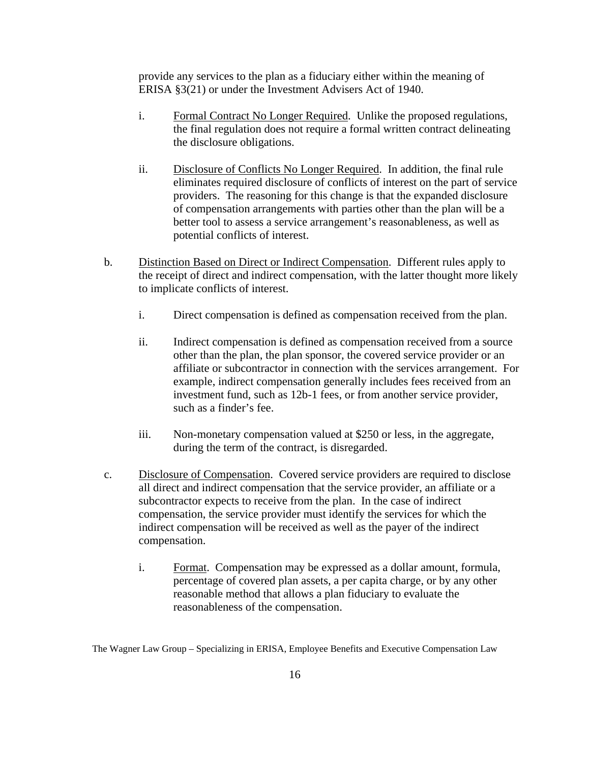provide any services to the plan as a fiduciary either within the meaning of ERISA §3(21) or under the Investment Advisers Act of 1940.

- i. Formal Contract No Longer Required. Unlike the proposed regulations, the final regulation does not require a formal written contract delineating the disclosure obligations.
- ii. Disclosure of Conflicts No Longer Required. In addition, the final rule eliminates required disclosure of conflicts of interest on the part of service providers. The reasoning for this change is that the expanded disclosure of compensation arrangements with parties other than the plan will be a better tool to assess a service arrangement's reasonableness, as well as potential conflicts of interest.
- b. Distinction Based on Direct or Indirect Compensation. Different rules apply to the receipt of direct and indirect compensation, with the latter thought more likely to implicate conflicts of interest.
	- i. Direct compensation is defined as compensation received from the plan.
	- ii. Indirect compensation is defined as compensation received from a source other than the plan, the plan sponsor, the covered service provider or an affiliate or subcontractor in connection with the services arrangement. For example, indirect compensation generally includes fees received from an investment fund, such as 12b-1 fees, or from another service provider, such as a finder's fee.
	- iii. Non-monetary compensation valued at \$250 or less, in the aggregate, during the term of the contract, is disregarded.
- c. Disclosure of Compensation. Covered service providers are required to disclose all direct and indirect compensation that the service provider, an affiliate or a subcontractor expects to receive from the plan. In the case of indirect compensation, the service provider must identify the services for which the indirect compensation will be received as well as the payer of the indirect compensation.
	- i. Format. Compensation may be expressed as a dollar amount, formula, percentage of covered plan assets, a per capita charge, or by any other reasonable method that allows a plan fiduciary to evaluate the reasonableness of the compensation.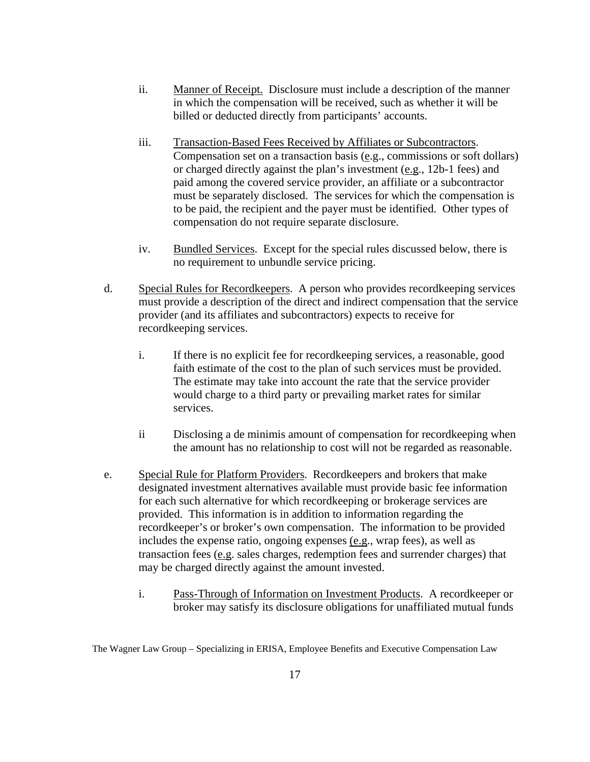- ii. Manner of Receipt. Disclosure must include a description of the manner in which the compensation will be received, such as whether it will be billed or deducted directly from participants' accounts.
- iii. Transaction-Based Fees Received by Affiliates or Subcontractors. Compensation set on a transaction basis (e.g., commissions or soft dollars) or charged directly against the plan's investment (e.g., 12b-1 fees) and paid among the covered service provider, an affiliate or a subcontractor must be separately disclosed. The services for which the compensation is to be paid, the recipient and the payer must be identified. Other types of compensation do not require separate disclosure.
- iv. Bundled Services. Except for the special rules discussed below, there is no requirement to unbundle service pricing.
- d. Special Rules for Recordkeepers. A person who provides recordkeeping services must provide a description of the direct and indirect compensation that the service provider (and its affiliates and subcontractors) expects to receive for recordkeeping services.
	- i. If there is no explicit fee for recordkeeping services, a reasonable, good faith estimate of the cost to the plan of such services must be provided. The estimate may take into account the rate that the service provider would charge to a third party or prevailing market rates for similar services.
	- ii Disclosing a de minimis amount of compensation for recordkeeping when the amount has no relationship to cost will not be regarded as reasonable.
- e. Special Rule for Platform Providers. Recordkeepers and brokers that make designated investment alternatives available must provide basic fee information for each such alternative for which recordkeeping or brokerage services are provided. This information is in addition to information regarding the recordkeeper's or broker's own compensation. The information to be provided includes the expense ratio, ongoing expenses (e.g., wrap fees), as well as transaction fees (e.g. sales charges, redemption fees and surrender charges) that may be charged directly against the amount invested.
	- i. Pass-Through of Information on Investment Products. A recordkeeper or broker may satisfy its disclosure obligations for unaffiliated mutual funds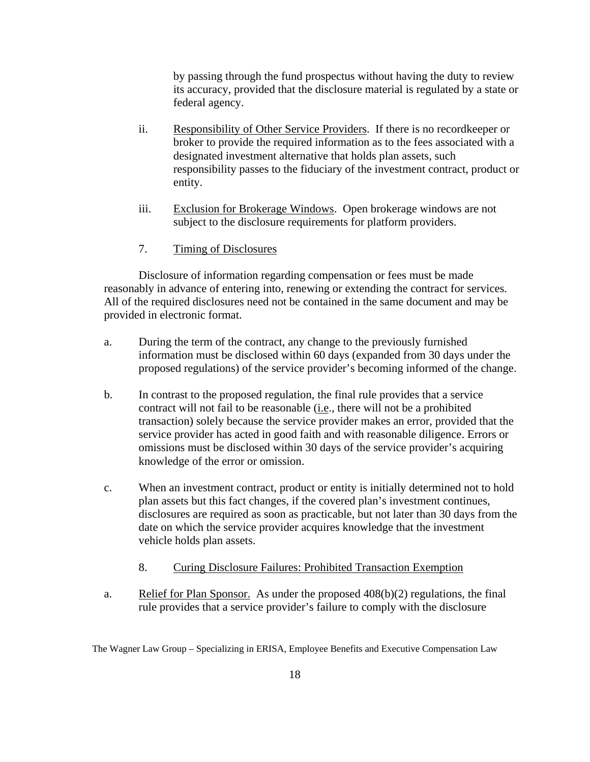by passing through the fund prospectus without having the duty to review its accuracy, provided that the disclosure material is regulated by a state or federal agency.

- ii. Responsibility of Other Service Providers. If there is no recordkeeper or broker to provide the required information as to the fees associated with a designated investment alternative that holds plan assets, such responsibility passes to the fiduciary of the investment contract, product or entity.
- iii. Exclusion for Brokerage Windows. Open brokerage windows are not subject to the disclosure requirements for platform providers.
- 7. Timing of Disclosures

Disclosure of information regarding compensation or fees must be made reasonably in advance of entering into, renewing or extending the contract for services. All of the required disclosures need not be contained in the same document and may be provided in electronic format.

- a. During the term of the contract, any change to the previously furnished information must be disclosed within 60 days (expanded from 30 days under the proposed regulations) of the service provider's becoming informed of the change.
- b. In contrast to the proposed regulation, the final rule provides that a service contract will not fail to be reasonable (i.e., there will not be a prohibited transaction) solely because the service provider makes an error, provided that the service provider has acted in good faith and with reasonable diligence. Errors or omissions must be disclosed within 30 days of the service provider's acquiring knowledge of the error or omission.
- c. When an investment contract, product or entity is initially determined not to hold plan assets but this fact changes, if the covered plan's investment continues, disclosures are required as soon as practicable, but not later than 30 days from the date on which the service provider acquires knowledge that the investment vehicle holds plan assets.
	- 8. Curing Disclosure Failures: Prohibited Transaction Exemption
- a. Relief for Plan Sponsor. As under the proposed 408(b)(2) regulations, the final rule provides that a service provider's failure to comply with the disclosure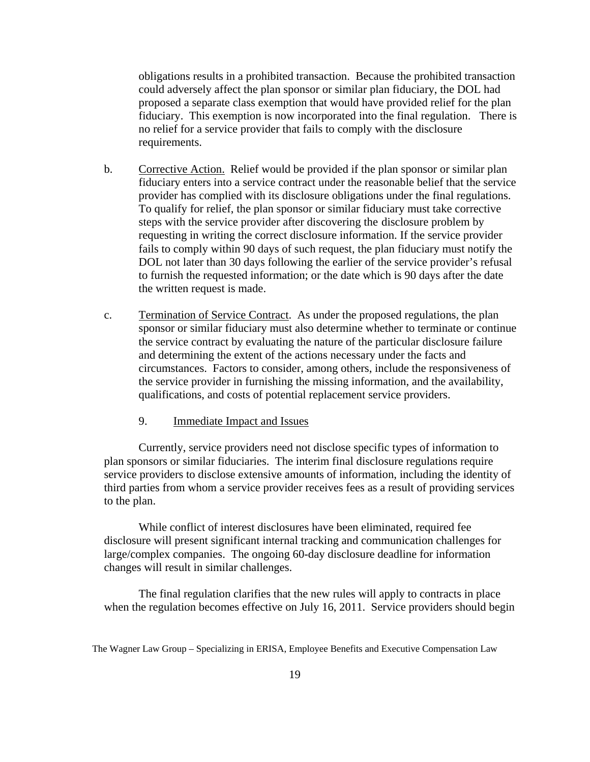obligations results in a prohibited transaction. Because the prohibited transaction could adversely affect the plan sponsor or similar plan fiduciary, the DOL had proposed a separate class exemption that would have provided relief for the plan fiduciary. This exemption is now incorporated into the final regulation. There is no relief for a service provider that fails to comply with the disclosure requirements.

- b. Corrective Action. Relief would be provided if the plan sponsor or similar plan fiduciary enters into a service contract under the reasonable belief that the service provider has complied with its disclosure obligations under the final regulations. To qualify for relief, the plan sponsor or similar fiduciary must take corrective steps with the service provider after discovering the disclosure problem by requesting in writing the correct disclosure information. If the service provider fails to comply within 90 days of such request, the plan fiduciary must notify the DOL not later than 30 days following the earlier of the service provider's refusal to furnish the requested information; or the date which is 90 days after the date the written request is made.
- c. Termination of Service Contract. As under the proposed regulations, the plan sponsor or similar fiduciary must also determine whether to terminate or continue the service contract by evaluating the nature of the particular disclosure failure and determining the extent of the actions necessary under the facts and circumstances. Factors to consider, among others, include the responsiveness of the service provider in furnishing the missing information, and the availability, qualifications, and costs of potential replacement service providers.
	- 9. Immediate Impact and Issues

Currently, service providers need not disclose specific types of information to plan sponsors or similar fiduciaries. The interim final disclosure regulations require service providers to disclose extensive amounts of information, including the identity of third parties from whom a service provider receives fees as a result of providing services to the plan.

While conflict of interest disclosures have been eliminated, required fee disclosure will present significant internal tracking and communication challenges for large/complex companies. The ongoing 60-day disclosure deadline for information changes will result in similar challenges.

The final regulation clarifies that the new rules will apply to contracts in place when the regulation becomes effective on July 16, 2011. Service providers should begin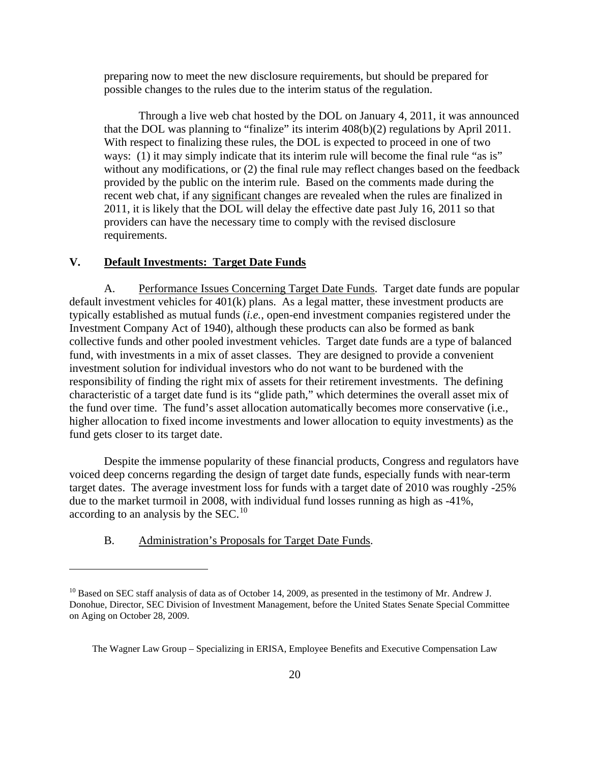<span id="page-21-0"></span>preparing now to meet the new disclosure requirements, but should be prepared for possible changes to the rules due to the interim status of the regulation.

Through a live web chat hosted by the DOL on January 4, 2011, it was announced that the DOL was planning to "finalize" its interim 408(b)(2) regulations by April 2011. With respect to finalizing these rules, the DOL is expected to proceed in one of two ways: (1) it may simply indicate that its interim rule will become the final rule "as is" without any modifications, or (2) the final rule may reflect changes based on the feedback provided by the public on the interim rule. Based on the comments made during the recent web chat, if any significant changes are revealed when the rules are finalized in 2011, it is likely that the DOL will delay the effective date past July 16, 2011 so that providers can have the necessary time to comply with the revised disclosure requirements.

## **V. Default Investments: Target Date Funds**

A. Performance Issues Concerning Target Date Funds. Target date funds are popular default investment vehicles for 401(k) plans. As a legal matter, these investment products are typically established as mutual funds (*i.e.*, open-end investment companies registered under the Investment Company Act of 1940), although these products can also be formed as bank collective funds and other pooled investment vehicles. Target date funds are a type of balanced fund, with investments in a mix of asset classes. They are designed to provide a convenient investment solution for individual investors who do not want to be burdened with the responsibility of finding the right mix of assets for their retirement investments. The defining characteristic of a target date fund is its "glide path," which determines the overall asset mix of the fund over time. The fund's asset allocation automatically becomes more conservative (i.e., higher allocation to fixed income investments and lower allocation to equity investments) as the fund gets closer to its target date.

Despite the immense popularity of these financial products, Congress and regulators have voiced deep concerns regarding the design of target date funds, especially funds with near-term target dates. The average investment loss for funds with a target date of 2010 was roughly -25% due to the market turmoil in 2008, with individual fund losses running as high as -41%, according to an analysis by the  $SEC.<sup>10</sup>$  $SEC.<sup>10</sup>$  $SEC.<sup>10</sup>$ 

B. Administration's Proposals for Target Date Funds.

<span id="page-21-1"></span><sup>&</sup>lt;sup>10</sup> Based on SEC staff analysis of data as of October 14, 2009, as presented in the testimony of Mr. Andrew J. Donohue, Director, SEC Division of Investment Management, before the United States Senate Special Committee on Aging on October 28, 2009.

The Wagner Law Group – Specializing in ERISA, Employee Benefits and Executive Compensation Law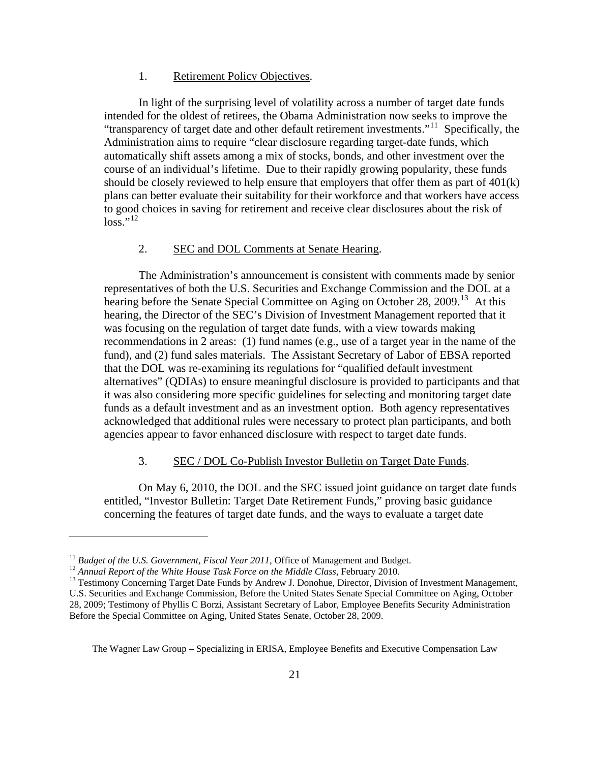#### 1. Retirement Policy Objectives.

In light of the surprising level of volatility across a number of target date funds intended for the oldest of retirees, the Obama Administration now seeks to improve the "transparency of target date and other default retirement investments."<sup>[11](#page-22-0)</sup> Specifically, the Administration aims to require "clear disclosure regarding target-date funds, which automatically shift assets among a mix of stocks, bonds, and other investment over the course of an individual's lifetime. Due to their rapidly growing popularity, these funds should be closely reviewed to help ensure that employers that offer them as part of 401(k) plans can better evaluate their suitability for their workforce and that workers have access to good choices in saving for retirement and receive clear disclosures about the risk of  $\log s$ ."[12](#page-22-1)

#### 2. SEC and DOL Comments at Senate Hearing.

The Administration's announcement is consistent with comments made by senior representatives of both the U.S. Securities and Exchange Commission and the DOL at a hearing before the Senate Special Committee on Aging on October 28, 2009.<sup>[13](#page-22-2)</sup> At this hearing, the Director of the SEC's Division of Investment Management reported that it was focusing on the regulation of target date funds, with a view towards making recommendations in 2 areas: (1) fund names (e.g., use of a target year in the name of the fund), and (2) fund sales materials. The Assistant Secretary of Labor of EBSA reported that the DOL was re-examining its regulations for "qualified default investment alternatives" (QDIAs) to ensure meaningful disclosure is provided to participants and that it was also considering more specific guidelines for selecting and monitoring target date funds as a default investment and as an investment option. Both agency representatives acknowledged that additional rules were necessary to protect plan participants, and both agencies appear to favor enhanced disclosure with respect to target date funds.

### 3. SEC / DOL Co-Publish Investor Bulletin on Target Date Funds.

On May 6, 2010, the DOL and the SEC issued joint guidance on target date funds entitled, "Investor Bulletin: Target Date Retirement Funds," proving basic guidance concerning the features of target date funds, and the ways to evaluate a target date

 $\overline{a}$ 

<span id="page-22-2"></span>

<span id="page-22-1"></span><span id="page-22-0"></span><sup>&</sup>lt;sup>11</sup> Budget of the U.S. Government, Fiscal Year 2011, Office of Management and Budget.<br><sup>12</sup> Annual Report of the White House Task Force on the Middle Class, February 2010.<br><sup>13</sup> Testimony Concerning Target Date Funds by An U.S. Securities and Exchange Commission, Before the United States Senate Special Committee on Aging, October 28, 2009; Testimony of Phyllis C Borzi, Assistant Secretary of Labor, Employee Benefits Security Administration Before the Special Committee on Aging, United States Senate, October 28, 2009.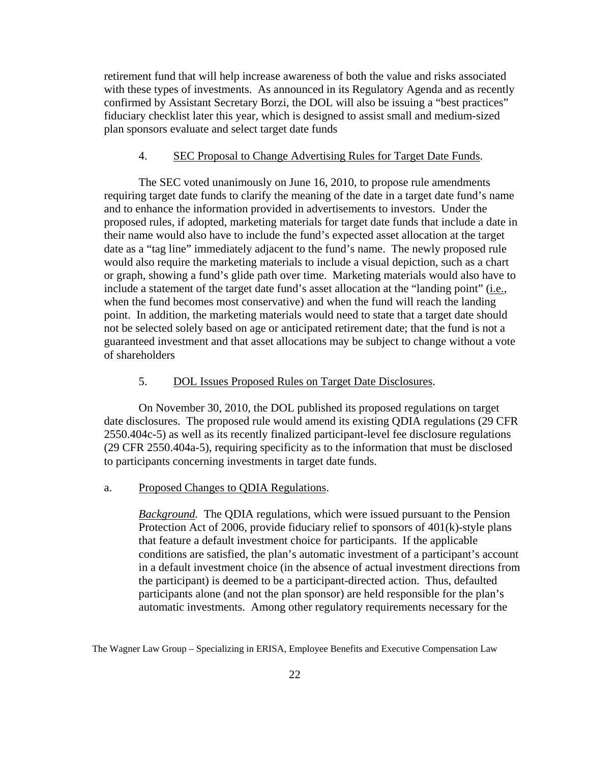retirement fund that will help increase awareness of both the value and risks associated with these types of investments. As announced in its Regulatory Agenda and as recently confirmed by Assistant Secretary Borzi, the DOL will also be issuing a "best practices" fiduciary checklist later this year, which is designed to assist small and medium-sized plan sponsors evaluate and select target date funds

#### 4. SEC Proposal to Change Advertising Rules for Target Date Funds.

The SEC voted unanimously on June 16, 2010, to propose rule amendments requiring target date funds to clarify the meaning of the date in a target date fund's name and to enhance the information provided in advertisements to investors. Under the proposed rules, if adopted, marketing materials for target date funds that include a date in their name would also have to include the fund's expected asset allocation at the target date as a "tag line" immediately adjacent to the fund's name. The newly proposed rule would also require the marketing materials to include a visual depiction, such as a chart or graph, showing a fund's glide path over time. Marketing materials would also have to include a statement of the target date fund's asset allocation at the "landing point" (i.e., when the fund becomes most conservative) and when the fund will reach the landing point. In addition, the marketing materials would need to state that a target date should not be selected solely based on age or anticipated retirement date; that the fund is not a guaranteed investment and that asset allocations may be subject to change without a vote of shareholders

#### 5. DOL Issues Proposed Rules on Target Date Disclosures.

On November 30, 2010, the DOL published its proposed regulations on target date disclosures. The proposed rule would amend its existing QDIA regulations (29 CFR 2550.404c-5) as well as its recently finalized participant-level fee disclosure regulations (29 CFR 2550.404a-5), requiring specificity as to the information that must be disclosed to participants concerning investments in target date funds.

#### a. Proposed Changes to QDIA Regulations.

*Background.* The QDIA regulations, which were issued pursuant to the Pension Protection Act of 2006, provide fiduciary relief to sponsors of 401(k)-style plans that feature a default investment choice for participants. If the applicable conditions are satisfied, the plan's automatic investment of a participant's account in a default investment choice (in the absence of actual investment directions from the participant) is deemed to be a participant-directed action. Thus, defaulted participants alone (and not the plan sponsor) are held responsible for the plan's automatic investments. Among other regulatory requirements necessary for the

The Wagner Law Group – Specializing in ERISA, Employee Benefits and Executive Compensation Law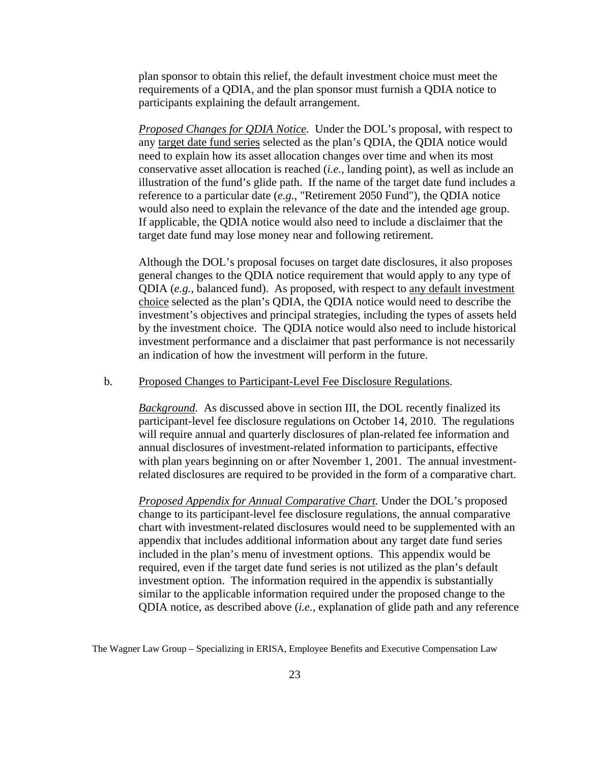plan sponsor to obtain this relief, the default investment choice must meet the requirements of a QDIA, and the plan sponsor must furnish a QDIA notice to participants explaining the default arrangement.

*Proposed Changes for QDIA Notice.* Under the DOL's proposal, with respect to any target date fund series selected as the plan's QDIA, the QDIA notice would need to explain how its asset allocation changes over time and when its most conservative asset allocation is reached (*i.e.*, landing point), as well as include an illustration of the fund's glide path. If the name of the target date fund includes a reference to a particular date (*e.g.*, "Retirement 2050 Fund"), the QDIA notice would also need to explain the relevance of the date and the intended age group. If applicable, the QDIA notice would also need to include a disclaimer that the target date fund may lose money near and following retirement.

Although the DOL's proposal focuses on target date disclosures, it also proposes general changes to the QDIA notice requirement that would apply to any type of QDIA (*e.g.*, balanced fund). As proposed, with respect to any default investment choice selected as the plan's QDIA, the QDIA notice would need to describe the investment's objectives and principal strategies, including the types of assets held by the investment choice. The QDIA notice would also need to include historical investment performance and a disclaimer that past performance is not necessarily an indication of how the investment will perform in the future.

#### b. Proposed Changes to Participant-Level Fee Disclosure Regulations.

*Background.* As discussed above in section III, the DOL recently finalized its participant-level fee disclosure regulations on October 14, 2010. The regulations will require annual and quarterly disclosures of plan-related fee information and annual disclosures of investment-related information to participants, effective with plan years beginning on or after November 1, 2001. The annual investmentrelated disclosures are required to be provided in the form of a comparative chart.

*Proposed Appendix for Annual Comparative Chart.* Under the DOL's proposed change to its participant-level fee disclosure regulations, the annual comparative chart with investment-related disclosures would need to be supplemented with an appendix that includes additional information about any target date fund series included in the plan's menu of investment options. This appendix would be required, even if the target date fund series is not utilized as the plan's default investment option. The information required in the appendix is substantially similar to the applicable information required under the proposed change to the QDIA notice, as described above (*i.e.*, explanation of glide path and any reference

The Wagner Law Group – Specializing in ERISA, Employee Benefits and Executive Compensation Law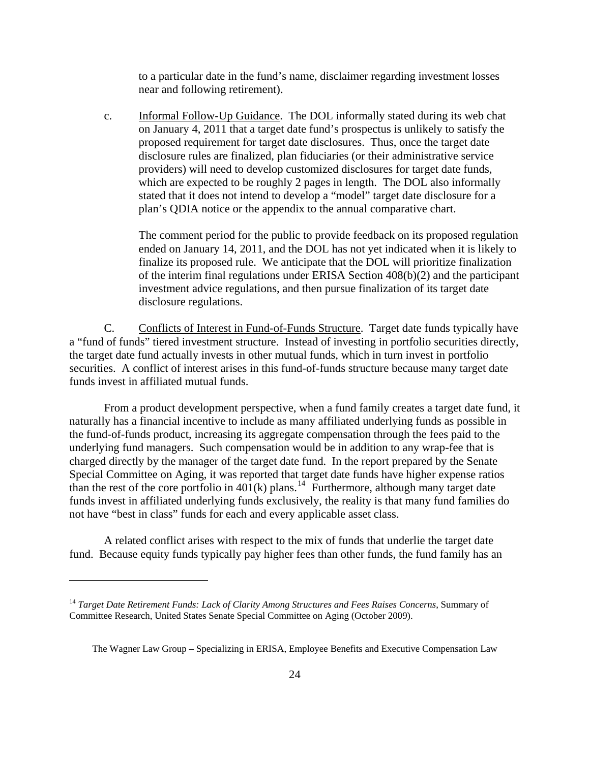to a particular date in the fund's name, disclaimer regarding investment losses near and following retirement).

c. **Informal Follow-Up Guidance**. The DOL informally stated during its web chat on January 4, 2011 that a target date fund's prospectus is unlikely to satisfy the proposed requirement for target date disclosures. Thus, once the target date disclosure rules are finalized, plan fiduciaries (or their administrative service providers) will need to develop customized disclosures for target date funds, which are expected to be roughly 2 pages in length. The DOL also informally stated that it does not intend to develop a "model" target date disclosure for a plan's QDIA notice or the appendix to the annual comparative chart.

The comment period for the public to provide feedback on its proposed regulation ended on January 14, 2011, and the DOL has not yet indicated when it is likely to finalize its proposed rule. We anticipate that the DOL will prioritize finalization of the interim final regulations under ERISA Section 408(b)(2) and the participant investment advice regulations, and then pursue finalization of its target date disclosure regulations.

C. Conflicts of Interest in Fund-of-Funds Structure. Target date funds typically have a "fund of funds" tiered investment structure. Instead of investing in portfolio securities directly, the target date fund actually invests in other mutual funds, which in turn invest in portfolio securities. A conflict of interest arises in this fund-of-funds structure because many target date funds invest in affiliated mutual funds.

From a product development perspective, when a fund family creates a target date fund, it naturally has a financial incentive to include as many affiliated underlying funds as possible in the fund-of-funds product, increasing its aggregate compensation through the fees paid to the underlying fund managers. Such compensation would be in addition to any wrap-fee that is charged directly by the manager of the target date fund. In the report prepared by the Senate Special Committee on Aging, it was reported that target date funds have higher expense ratios than the rest of the core portfolio in  $401(k)$  plans.<sup>[14](#page-25-0)</sup> Furthermore, although many target date funds invest in affiliated underlying funds exclusively, the reality is that many fund families do not have "best in class" funds for each and every applicable asset class.

A related conflict arises with respect to the mix of funds that underlie the target date fund. Because equity funds typically pay higher fees than other funds, the fund family has an

<span id="page-25-0"></span><sup>14</sup> *Target Date Retirement Funds: Lack of Clarity Among Structures and Fees Raises Concerns*, Summary of Committee Research, United States Senate Special Committee on Aging (October 2009).

The Wagner Law Group – Specializing in ERISA, Employee Benefits and Executive Compensation Law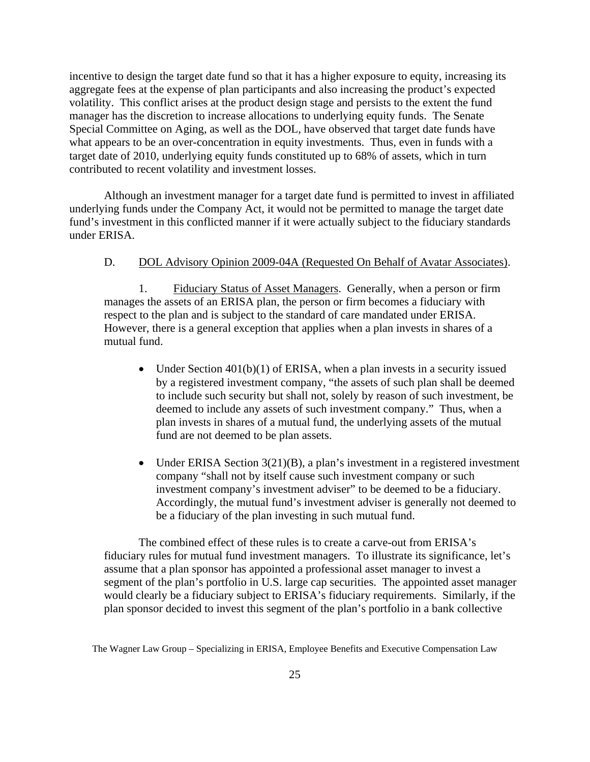incentive to design the target date fund so that it has a higher exposure to equity, increasing its aggregate fees at the expense of plan participants and also increasing the product's expected volatility. This conflict arises at the product design stage and persists to the extent the fund manager has the discretion to increase allocations to underlying equity funds. The Senate Special Committee on Aging, as well as the DOL, have observed that target date funds have what appears to be an over-concentration in equity investments. Thus, even in funds with a target date of 2010, underlying equity funds constituted up to 68% of assets, which in turn contributed to recent volatility and investment losses.

Although an investment manager for a target date fund is permitted to invest in affiliated underlying funds under the Company Act, it would not be permitted to manage the target date fund's investment in this conflicted manner if it were actually subject to the fiduciary standards under ERISA.

#### D. DOL Advisory Opinion 2009-04A (Requested On Behalf of Avatar Associates).

1. Fiduciary Status of Asset Managers. Generally, when a person or firm manages the assets of an ERISA plan, the person or firm becomes a fiduciary with respect to the plan and is subject to the standard of care mandated under ERISA. However, there is a general exception that applies when a plan invests in shares of a mutual fund.

- Under Section  $401(b)(1)$  of ERISA, when a plan invests in a security issued by a registered investment company, "the assets of such plan shall be deemed to include such security but shall not, solely by reason of such investment, be deemed to include any assets of such investment company." Thus, when a plan invests in shares of a mutual fund, the underlying assets of the mutual fund are not deemed to be plan assets.
- Under ERISA Section  $3(21)(B)$ , a plan's investment in a registered investment company "shall not by itself cause such investment company or such investment company's investment adviser" to be deemed to be a fiduciary. Accordingly, the mutual fund's investment adviser is generally not deemed to be a fiduciary of the plan investing in such mutual fund.

The combined effect of these rules is to create a carve-out from ERISA's fiduciary rules for mutual fund investment managers. To illustrate its significance, let's assume that a plan sponsor has appointed a professional asset manager to invest a segment of the plan's portfolio in U.S. large cap securities. The appointed asset manager would clearly be a fiduciary subject to ERISA's fiduciary requirements. Similarly, if the plan sponsor decided to invest this segment of the plan's portfolio in a bank collective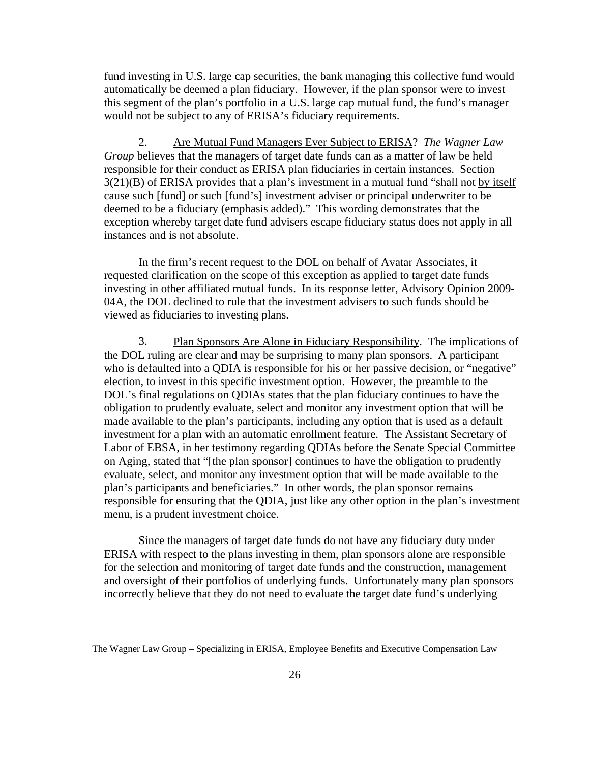fund investing in U.S. large cap securities, the bank managing this collective fund would automatically be deemed a plan fiduciary. However, if the plan sponsor were to invest this segment of the plan's portfolio in a U.S. large cap mutual fund, the fund's manager would not be subject to any of ERISA's fiduciary requirements.

2. Are Mutual Fund Managers Ever Subject to ERISA? *The Wagner Law Group* believes that the managers of target date funds can as a matter of law be held responsible for their conduct as ERISA plan fiduciaries in certain instances. Section 3(21)(B) of ERISA provides that a plan's investment in a mutual fund "shall not by itself cause such [fund] or such [fund's] investment adviser or principal underwriter to be deemed to be a fiduciary (emphasis added)." This wording demonstrates that the exception whereby target date fund advisers escape fiduciary status does not apply in all instances and is not absolute.

In the firm's recent request to the DOL on behalf of Avatar Associates, it requested clarification on the scope of this exception as applied to target date funds investing in other affiliated mutual funds. In its response letter, Advisory Opinion 2009- 04A, the DOL declined to rule that the investment advisers to such funds should be viewed as fiduciaries to investing plans.

3. Plan Sponsors Are Alone in Fiduciary Responsibility. The implications of the DOL ruling are clear and may be surprising to many plan sponsors. A participant who is defaulted into a QDIA is responsible for his or her passive decision, or "negative" election, to invest in this specific investment option. However, the preamble to the DOL's final regulations on QDIAs states that the plan fiduciary continues to have the obligation to prudently evaluate, select and monitor any investment option that will be made available to the plan's participants, including any option that is used as a default investment for a plan with an automatic enrollment feature. The Assistant Secretary of Labor of EBSA, in her testimony regarding QDIAs before the Senate Special Committee on Aging, stated that "[the plan sponsor] continues to have the obligation to prudently evaluate, select, and monitor any investment option that will be made available to the plan's participants and beneficiaries." In other words, the plan sponsor remains responsible for ensuring that the QDIA, just like any other option in the plan's investment menu, is a prudent investment choice.

Since the managers of target date funds do not have any fiduciary duty under ERISA with respect to the plans investing in them, plan sponsors alone are responsible for the selection and monitoring of target date funds and the construction, management and oversight of their portfolios of underlying funds. Unfortunately many plan sponsors incorrectly believe that they do not need to evaluate the target date fund's underlying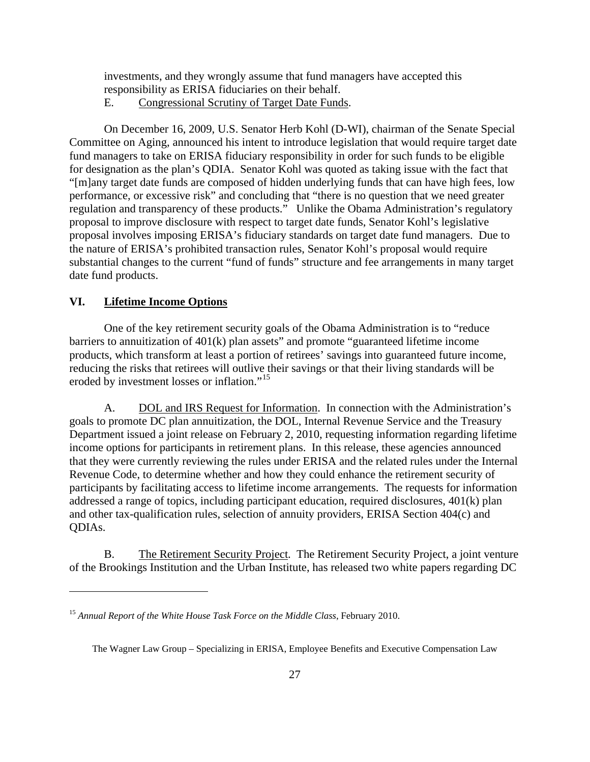<span id="page-28-0"></span>investments, and they wrongly assume that fund managers have accepted this responsibility as ERISA fiduciaries on their behalf.

E. Congressional Scrutiny of Target Date Funds.

On December 16, 2009, U.S. Senator Herb Kohl (D-WI), chairman of the Senate Special Committee on Aging, announced his intent to introduce legislation that would require target date fund managers to take on ERISA fiduciary responsibility in order for such funds to be eligible for designation as the plan's QDIA. Senator Kohl was quoted as taking issue with the fact that "[m]any target date funds are composed of hidden underlying funds that can have high fees, low performance, or excessive risk" and concluding that "there is no question that we need greater regulation and transparency of these products." Unlike the Obama Administration's regulatory proposal to improve disclosure with respect to target date funds, Senator Kohl's legislative proposal involves imposing ERISA's fiduciary standards on target date fund managers. Due to the nature of ERISA's prohibited transaction rules, Senator Kohl's proposal would require substantial changes to the current "fund of funds" structure and fee arrangements in many target date fund products.

## **VI. Lifetime Income Options**

 $\overline{a}$ 

One of the key retirement security goals of the Obama Administration is to "reduce barriers to annuitization of 401(k) plan assets" and promote "guaranteed lifetime income products, which transform at least a portion of retirees' savings into guaranteed future income, reducing the risks that retirees will outlive their savings or that their living standards will be eroded by investment losses or inflation."<sup>[15](#page-28-1)</sup>

A. DOL and IRS Request for Information. In connection with the Administration's goals to promote DC plan annuitization, the DOL, Internal Revenue Service and the Treasury Department issued a joint release on February 2, 2010, requesting information regarding lifetime income options for participants in retirement plans. In this release, these agencies announced that they were currently reviewing the rules under ERISA and the related rules under the Internal Revenue Code, to determine whether and how they could enhance the retirement security of participants by facilitating access to lifetime income arrangements. The requests for information addressed a range of topics, including participant education, required disclosures, 401(k) plan and other tax-qualification rules, selection of annuity providers, ERISA Section 404(c) and QDIAs.

B. The Retirement Security Project. The Retirement Security Project, a joint venture of the Brookings Institution and the Urban Institute, has released two white papers regarding DC

<span id="page-28-1"></span><sup>&</sup>lt;sup>15</sup> Annual Report of the White House Task Force on the Middle Class, February 2010.

The Wagner Law Group – Specializing in ERISA, Employee Benefits and Executive Compensation Law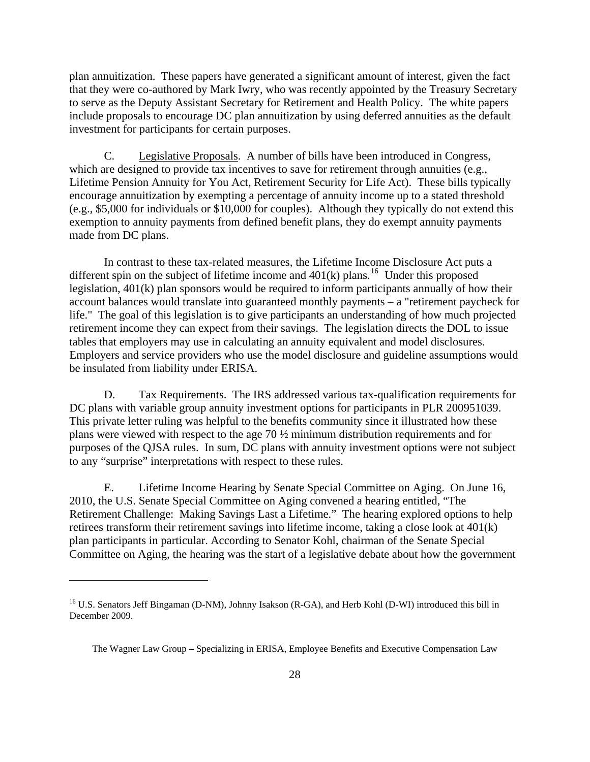plan annuitization. These papers have generated a significant amount of interest, given the fact that they were co-authored by Mark Iwry, who was recently appointed by the Treasury Secretary to serve as the Deputy Assistant Secretary for Retirement and Health Policy. The white papers include proposals to encourage DC plan annuitization by using deferred annuities as the default investment for participants for certain purposes.

C. Legislative Proposals. A number of bills have been introduced in Congress, which are designed to provide tax incentives to save for retirement through annuities (e.g., Lifetime Pension Annuity for You Act, Retirement Security for Life Act). These bills typically encourage annuitization by exempting a percentage of annuity income up to a stated threshold (e.g., \$5,000 for individuals or \$10,000 for couples). Although they typically do not extend this exemption to annuity payments from defined benefit plans, they do exempt annuity payments made from DC plans.

In contrast to these tax-related measures, the Lifetime Income Disclosure Act puts a different spin on the subject of lifetime income and  $401(k)$  plans.<sup>[16](#page-29-0)</sup> Under this proposed legislation, 401(k) plan sponsors would be required to inform participants annually of how their account balances would translate into guaranteed monthly payments – a "retirement paycheck for life." The goal of this legislation is to give participants an understanding of how much projected retirement income they can expect from their savings. The legislation directs the DOL to issue tables that employers may use in calculating an annuity equivalent and model disclosures. Employers and service providers who use the model disclosure and guideline assumptions would be insulated from liability under ERISA.

D. Tax Requirements. The IRS addressed various tax-qualification requirements for DC plans with variable group annuity investment options for participants in PLR 200951039. This private letter ruling was helpful to the benefits community since it illustrated how these plans were viewed with respect to the age 70 ½ minimum distribution requirements and for purposes of the QJSA rules. In sum, DC plans with annuity investment options were not subject to any "surprise" interpretations with respect to these rules.

E. Lifetime Income Hearing by Senate Special Committee on Aging. On June 16, 2010, the U.S. Senate Special Committee on Aging convened a hearing entitled, "The Retirement Challenge: Making Savings Last a Lifetime." The hearing explored options to help retirees transform their retirement savings into lifetime income, taking a close look at 401(k) plan participants in particular. According to Senator Kohl, chairman of the Senate Special Committee on Aging, the hearing was the start of a legislative debate about how the government

<span id="page-29-0"></span><sup>&</sup>lt;sup>16</sup> U.S. Senators Jeff Bingaman (D-NM), Johnny Isakson (R-GA), and Herb Kohl (D-WI) introduced this bill in December 2009.

The Wagner Law Group – Specializing in ERISA, Employee Benefits and Executive Compensation Law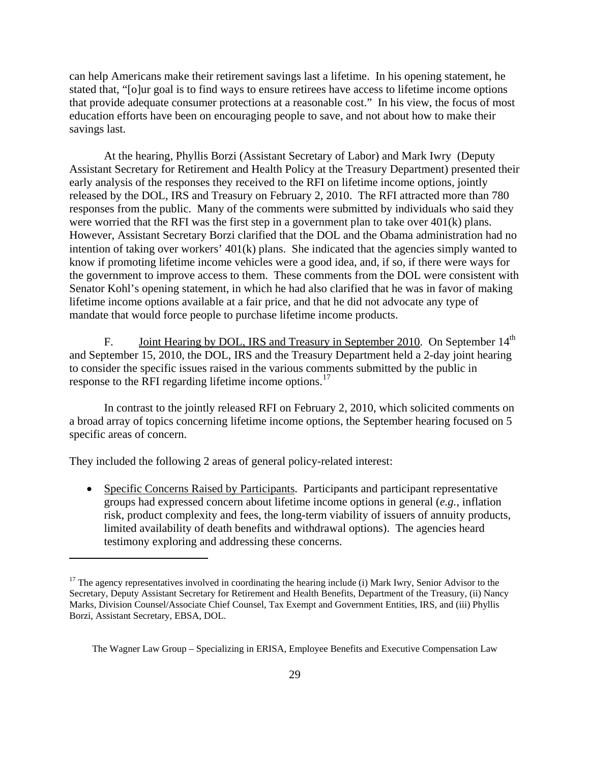can help Americans make their retirement savings last a lifetime. In his opening statement, he stated that, "[o]ur goal is to find ways to ensure retirees have access to lifetime income options that provide adequate consumer protections at a reasonable cost." In his view, the focus of most education efforts have been on encouraging people to save, and not about how to make their savings last.

At the hearing, Phyllis Borzi (Assistant Secretary of Labor) and Mark Iwry (Deputy Assistant Secretary for Retirement and Health Policy at the Treasury Department) presented their early analysis of the responses they received to the RFI on lifetime income options, jointly released by the DOL, IRS and Treasury on February 2, 2010. The RFI attracted more than 780 responses from the public. Many of the comments were submitted by individuals who said they were worried that the RFI was the first step in a government plan to take over 401(k) plans. However, Assistant Secretary Borzi clarified that the DOL and the Obama administration had no intention of taking over workers' 401(k) plans. She indicated that the agencies simply wanted to know if promoting lifetime income vehicles were a good idea, and, if so, if there were ways for the government to improve access to them. These comments from the DOL were consistent with Senator Kohl's opening statement, in which he had also clarified that he was in favor of making lifetime income options available at a fair price, and that he did not advocate any type of mandate that would force people to purchase lifetime income products.

F. Joint Hearing by DOL, IRS and Treasury in September 2010. On September 14<sup>th</sup> and September 15, 2010, the DOL, IRS and the Treasury Department held a 2-day joint hearing to consider the specific issues raised in the various comments submitted by the public in response to the RFI regarding lifetime income options.<sup>[17](#page-30-0)</sup>

In contrast to the jointly released RFI on February 2, 2010, which solicited comments on a broad array of topics concerning lifetime income options, the September hearing focused on 5 specific areas of concern.

They included the following 2 areas of general policy-related interest:

 $\overline{a}$ 

• Specific Concerns Raised by Participants. Participants and participant representative groups had expressed concern about lifetime income options in general (*e.g.*, inflation risk, product complexity and fees, the long-term viability of issuers of annuity products, limited availability of death benefits and withdrawal options). The agencies heard testimony exploring and addressing these concerns.

<span id="page-30-0"></span><sup>&</sup>lt;sup>17</sup> The agency representatives involved in coordinating the hearing include (i) Mark Iwry, Senior Advisor to the Secretary, Deputy Assistant Secretary for Retirement and Health Benefits, Department of the Treasury, (ii) Nancy Marks, Division Counsel/Associate Chief Counsel, Tax Exempt and Government Entities, IRS, and (iii) Phyllis Borzi, Assistant Secretary, EBSA, DOL.

The Wagner Law Group – Specializing in ERISA, Employee Benefits and Executive Compensation Law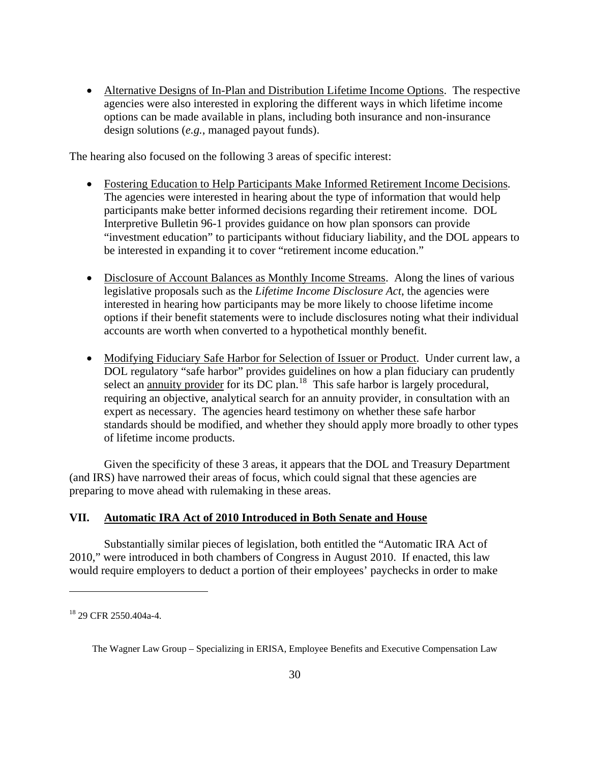<span id="page-31-0"></span>• Alternative Designs of In-Plan and Distribution Lifetime Income Options. The respective agencies were also interested in exploring the different ways in which lifetime income options can be made available in plans, including both insurance and non-insurance design solutions (*e.g.*, managed payout funds).

The hearing also focused on the following 3 areas of specific interest:

- Fostering Education to Help Participants Make Informed Retirement Income Decisions. The agencies were interested in hearing about the type of information that would help participants make better informed decisions regarding their retirement income. DOL Interpretive Bulletin 96-1 provides guidance on how plan sponsors can provide "investment education" to participants without fiduciary liability, and the DOL appears to be interested in expanding it to cover "retirement income education."
- Disclosure of Account Balances as Monthly Income Streams. Along the lines of various legislative proposals such as the *Lifetime Income Disclosure Act*, the agencies were interested in hearing how participants may be more likely to choose lifetime income options if their benefit statements were to include disclosures noting what their individual accounts are worth when converted to a hypothetical monthly benefit.
- Modifying Fiduciary Safe Harbor for Selection of Issuer or Product. Under current law, a DOL regulatory "safe harbor" provides guidelines on how a plan fiduciary can prudently select an annuity provider for its DC plan.  $18$  This safe harbor is largely procedural, requiring an objective, analytical search for an annuity provider, in consultation with an expert as necessary. The agencies heard testimony on whether these safe harbor standards should be modified, and whether they should apply more broadly to other types of lifetime income products.

Given the specificity of these 3 areas, it appears that the DOL and Treasury Department (and IRS) have narrowed their areas of focus, which could signal that these agencies are preparing to move ahead with rulemaking in these areas.

## **VII. Automatic IRA Act of 2010 Introduced in Both Senate and House**

 Substantially similar pieces of legislation, both entitled the "Automatic IRA Act of 2010," were introduced in both chambers of Congress in August 2010. If enacted, this law would require employers to deduct a portion of their employees' paychecks in order to make

<span id="page-31-1"></span><sup>18 29</sup> CFR 2550.404a-4.

The Wagner Law Group – Specializing in ERISA, Employee Benefits and Executive Compensation Law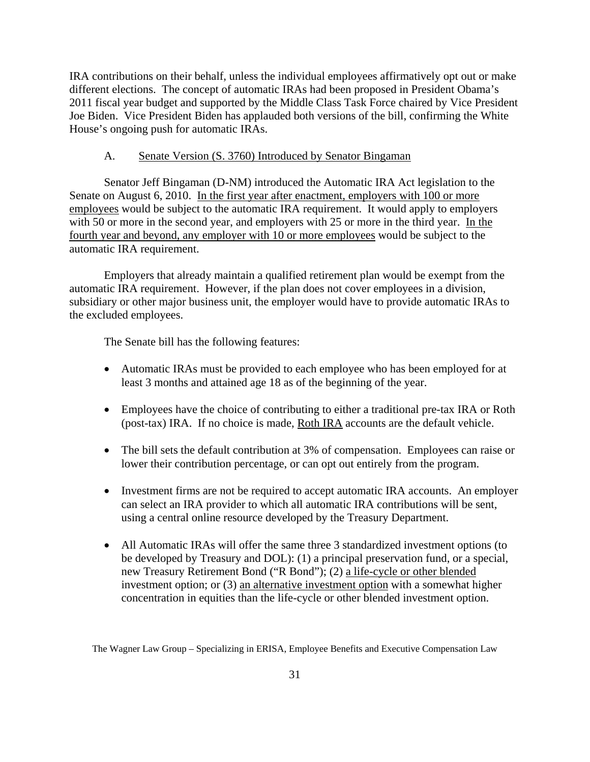IRA contributions on their behalf, unless the individual employees affirmatively opt out or make different elections. The concept of automatic IRAs had been proposed in President Obama's 2011 fiscal year budget and supported by the Middle Class Task Force chaired by Vice President Joe Biden. Vice President Biden has applauded both versions of the bill, confirming the White House's ongoing push for automatic IRAs.

#### A. Senate Version (S. 3760) Introduced by Senator Bingaman

Senator Jeff Bingaman (D-NM) introduced the Automatic IRA Act legislation to the Senate on August 6, 2010. In the first year after enactment, employers with 100 or more employees would be subject to the automatic IRA requirement. It would apply to employers with 50 or more in the second year, and employers with 25 or more in the third year. In the fourth year and beyond, any employer with 10 or more employees would be subject to the automatic IRA requirement.

Employers that already maintain a qualified retirement plan would be exempt from the automatic IRA requirement. However, if the plan does not cover employees in a division, subsidiary or other major business unit, the employer would have to provide automatic IRAs to the excluded employees.

The Senate bill has the following features:

- Automatic IRAs must be provided to each employee who has been employed for at least 3 months and attained age 18 as of the beginning of the year.
- Employees have the choice of contributing to either a traditional pre-tax IRA or Roth (post-tax) IRA. If no choice is made, Roth IRA accounts are the default vehicle.
- The bill sets the default contribution at 3% of compensation. Employees can raise or lower their contribution percentage, or can opt out entirely from the program.
- Investment firms are not be required to accept automatic IRA accounts. An employer can select an IRA provider to which all automatic IRA contributions will be sent, using a central online resource developed by the Treasury Department.
- All Automatic IRAs will offer the same three 3 standardized investment options (to be developed by Treasury and DOL): (1) a principal preservation fund, or a special, new Treasury Retirement Bond ("R Bond"); (2) a life-cycle or other blended investment option; or (3) an alternative investment option with a somewhat higher concentration in equities than the life-cycle or other blended investment option.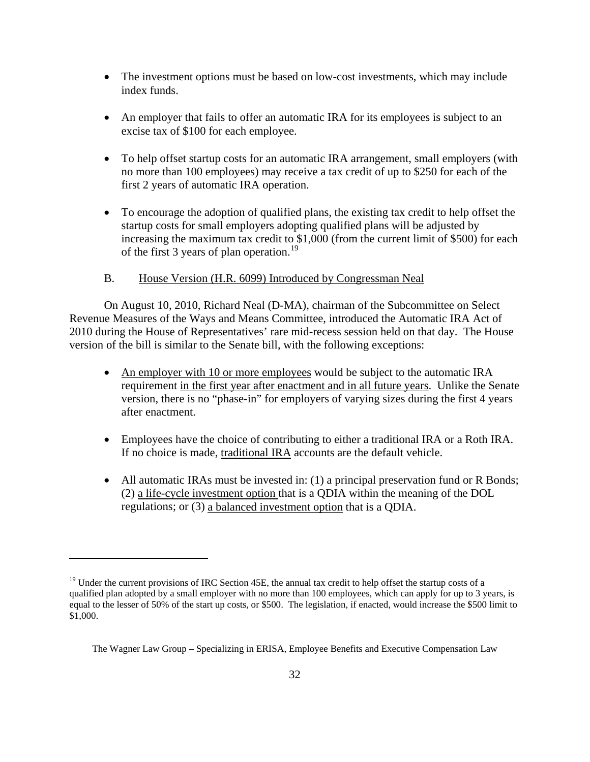- The investment options must be based on low-cost investments, which may include index funds.
- An employer that fails to offer an automatic IRA for its employees is subject to an excise tax of \$100 for each employee.
- To help offset startup costs for an automatic IRA arrangement, small employers (with no more than 100 employees) may receive a tax credit of up to \$250 for each of the first 2 years of automatic IRA operation.
- To encourage the adoption of qualified plans, the existing tax credit to help offset the startup costs for small employers adopting qualified plans will be adjusted by increasing the maximum tax credit to \$1,000 (from the current limit of \$500) for each of the first 3 years of plan operation.<sup>[19](#page-33-0)</sup>

## B. House Version (H.R. 6099) Introduced by Congressman Neal

On August 10, 2010, Richard Neal (D-MA), chairman of the Subcommittee on Select Revenue Measures of the Ways and Means Committee, introduced the Automatic IRA Act of 2010 during the House of Representatives' rare mid-recess session held on that day. The House version of the bill is similar to the Senate bill, with the following exceptions:

- An employer with 10 or more employees would be subject to the automatic IRA requirement in the first year after enactment and in all future years. Unlike the Senate version, there is no "phase-in" for employers of varying sizes during the first 4 years after enactment.
- Employees have the choice of contributing to either a traditional IRA or a Roth IRA. If no choice is made, traditional IRA accounts are the default vehicle.
- All automatic IRAs must be invested in: (1) a principal preservation fund or R Bonds; (2) a life-cycle investment option that is a QDIA within the meaning of the DOL regulations; or (3) a balanced investment option that is a QDIA.

<span id="page-33-0"></span> $19$  Under the current provisions of IRC Section 45E, the annual tax credit to help offset the startup costs of a qualified plan adopted by a small employer with no more than 100 employees, which can apply for up to 3 years, is equal to the lesser of 50% of the start up costs, or \$500. The legislation, if enacted, would increase the \$500 limit to \$1,000.

The Wagner Law Group – Specializing in ERISA, Employee Benefits and Executive Compensation Law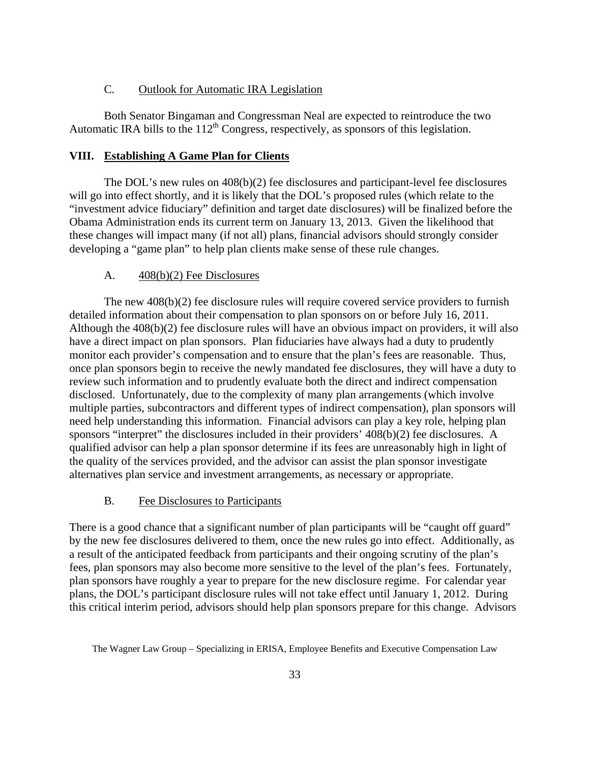#### C. Outlook for Automatic IRA Legislation

<span id="page-34-0"></span> Both Senator Bingaman and Congressman Neal are expected to reintroduce the two Automatic IRA bills to the  $112<sup>th</sup>$  Congress, respectively, as sponsors of this legislation.

#### **VIII. Establishing A Game Plan for Clients**

 The DOL's new rules on 408(b)(2) fee disclosures and participant-level fee disclosures will go into effect shortly, and it is likely that the DOL's proposed rules (which relate to the "investment advice fiduciary" definition and target date disclosures) will be finalized before the Obama Administration ends its current term on January 13, 2013. Given the likelihood that these changes will impact many (if not all) plans, financial advisors should strongly consider developing a "game plan" to help plan clients make sense of these rule changes.

#### A. 408(b)(2) Fee Disclosures

 The new 408(b)(2) fee disclosure rules will require covered service providers to furnish detailed information about their compensation to plan sponsors on or before July 16, 2011. Although the 408(b)(2) fee disclosure rules will have an obvious impact on providers, it will also have a direct impact on plan sponsors. Plan fiduciaries have always had a duty to prudently monitor each provider's compensation and to ensure that the plan's fees are reasonable. Thus, once plan sponsors begin to receive the newly mandated fee disclosures, they will have a duty to review such information and to prudently evaluate both the direct and indirect compensation disclosed. Unfortunately, due to the complexity of many plan arrangements (which involve multiple parties, subcontractors and different types of indirect compensation), plan sponsors will need help understanding this information. Financial advisors can play a key role, helping plan sponsors "interpret" the disclosures included in their providers' 408(b)(2) fee disclosures. A qualified advisor can help a plan sponsor determine if its fees are unreasonably high in light of the quality of the services provided, and the advisor can assist the plan sponsor investigate alternatives plan service and investment arrangements, as necessary or appropriate.

## B. Fee Disclosures to Participants

There is a good chance that a significant number of plan participants will be "caught off guard" by the new fee disclosures delivered to them, once the new rules go into effect. Additionally, as a result of the anticipated feedback from participants and their ongoing scrutiny of the plan's fees, plan sponsors may also become more sensitive to the level of the plan's fees. Fortunately, plan sponsors have roughly a year to prepare for the new disclosure regime. For calendar year plans, the DOL's participant disclosure rules will not take effect until January 1, 2012. During this critical interim period, advisors should help plan sponsors prepare for this change. Advisors

The Wagner Law Group – Specializing in ERISA, Employee Benefits and Executive Compensation Law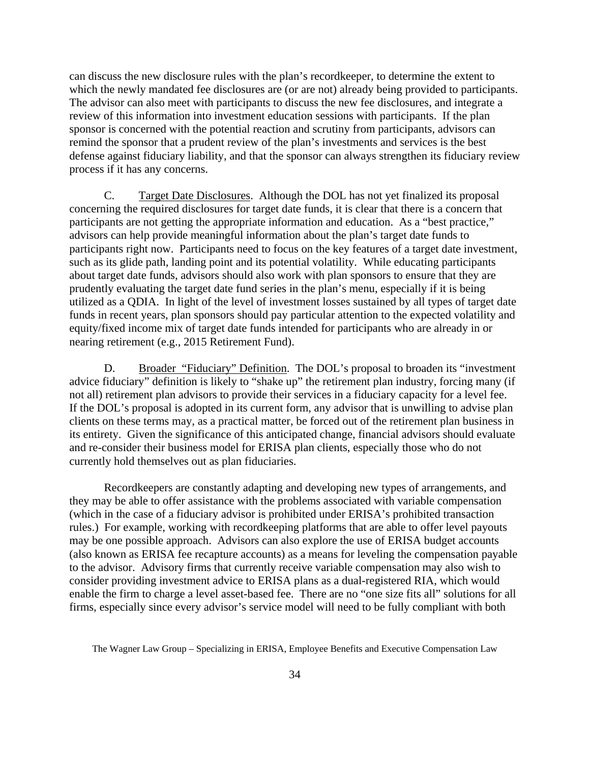can discuss the new disclosure rules with the plan's recordkeeper, to determine the extent to which the newly mandated fee disclosures are (or are not) already being provided to participants. The advisor can also meet with participants to discuss the new fee disclosures, and integrate a review of this information into investment education sessions with participants. If the plan sponsor is concerned with the potential reaction and scrutiny from participants, advisors can remind the sponsor that a prudent review of the plan's investments and services is the best defense against fiduciary liability, and that the sponsor can always strengthen its fiduciary review process if it has any concerns.

C. Target Date Disclosures. Although the DOL has not yet finalized its proposal concerning the required disclosures for target date funds, it is clear that there is a concern that participants are not getting the appropriate information and education. As a "best practice," advisors can help provide meaningful information about the plan's target date funds to participants right now. Participants need to focus on the key features of a target date investment, such as its glide path, landing point and its potential volatility. While educating participants about target date funds, advisors should also work with plan sponsors to ensure that they are prudently evaluating the target date fund series in the plan's menu, especially if it is being utilized as a QDIA. In light of the level of investment losses sustained by all types of target date funds in recent years, plan sponsors should pay particular attention to the expected volatility and equity/fixed income mix of target date funds intended for participants who are already in or nearing retirement (e.g., 2015 Retirement Fund).

D. Broader "Fiduciary" Definition. The DOL's proposal to broaden its "investment advice fiduciary" definition is likely to "shake up" the retirement plan industry, forcing many (if not all) retirement plan advisors to provide their services in a fiduciary capacity for a level fee. If the DOL's proposal is adopted in its current form, any advisor that is unwilling to advise plan clients on these terms may, as a practical matter, be forced out of the retirement plan business in its entirety. Given the significance of this anticipated change, financial advisors should evaluate and re-consider their business model for ERISA plan clients, especially those who do not currently hold themselves out as plan fiduciaries.

Recordkeepers are constantly adapting and developing new types of arrangements, and they may be able to offer assistance with the problems associated with variable compensation (which in the case of a fiduciary advisor is prohibited under ERISA's prohibited transaction rules.) For example, working with recordkeeping platforms that are able to offer level payouts may be one possible approach. Advisors can also explore the use of ERISA budget accounts (also known as ERISA fee recapture accounts) as a means for leveling the compensation payable to the advisor. Advisory firms that currently receive variable compensation may also wish to consider providing investment advice to ERISA plans as a dual-registered RIA, which would enable the firm to charge a level asset-based fee. There are no "one size fits all" solutions for all firms, especially since every advisor's service model will need to be fully compliant with both

The Wagner Law Group – Specializing in ERISA, Employee Benefits and Executive Compensation Law